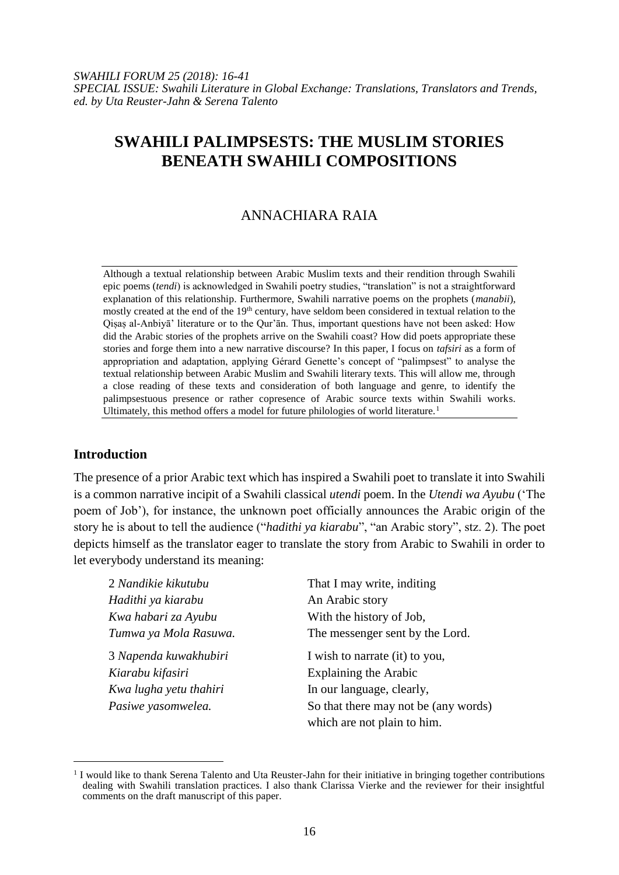# **SWAHILI PALIMPSESTS: THE MUSLIM STORIES BENEATH SWAHILI COMPOSITIONS**

## ANNACHIARA RAIA

Although a textual relationship between Arabic Muslim texts and their rendition through Swahili epic poems (*tendi*) is acknowledged in Swahili poetry studies, "translation" is not a straightforward explanation of this relationship. Furthermore, Swahili narrative poems on the prophets (*manabii*), mostly created at the end of the 19<sup>th</sup> century, have seldom been considered in textual relation to the Qisas al-Anbiyā' literature or to the Qur'ān. Thus, important questions have not been asked: How did the Arabic stories of the prophets arrive on the Swahili coast? How did poets appropriate these stories and forge them into a new narrative discourse? In this paper, I focus on *tafsiri* as a form of appropriation and adaptation, applying Gérard Genette's concept of "palimpsest" to analyse the textual relationship between Arabic Muslim and Swahili literary texts. This will allow me, through a close reading of these texts and consideration of both language and genre, to identify the palimpsestuous presence or rather copresence of Arabic source texts within Swahili works. Ultimately, this method offers a model for future philologies of world literature.<sup>1</sup>

### **Introduction**

l

The presence of a prior Arabic text which has inspired a Swahili poet to translate it into Swahili is a common narrative incipit of a Swahili classical *utendi* poem. In the *Utendi wa Ayubu* ('The poem of Job'), for instance, the unknown poet officially announces the Arabic origin of the story he is about to tell the audience ("*hadithi ya kiarabu*", "an Arabic story", stz. 2). The poet depicts himself as the translator eager to translate the story from Arabic to Swahili in order to let everybody understand its meaning:

| 2 Nandikie kikutubu    | That I may write, inditing           |
|------------------------|--------------------------------------|
| Hadithi ya kiarabu     | An Arabic story                      |
| Kwa habari za Ayubu    | With the history of Job,             |
| Tumwa ya Mola Rasuwa.  | The messenger sent by the Lord.      |
| 3 Napenda kuwakhubiri  | I wish to narrate (it) to you,       |
| Kiarabu kifasiri       | Explaining the Arabic                |
| Kwa lugha yetu thahiri | In our language, clearly,            |
| Pasiwe yasomwelea.     | So that there may not be (any words) |
|                        | which are not plain to him.          |

<sup>&</sup>lt;sup>1</sup> I would like to thank Serena Talento and Uta Reuster-Jahn for their initiative in bringing together contributions dealing with Swahili translation practices. I also thank Clarissa Vierke and the reviewer for their insightful comments on the draft manuscript of this paper.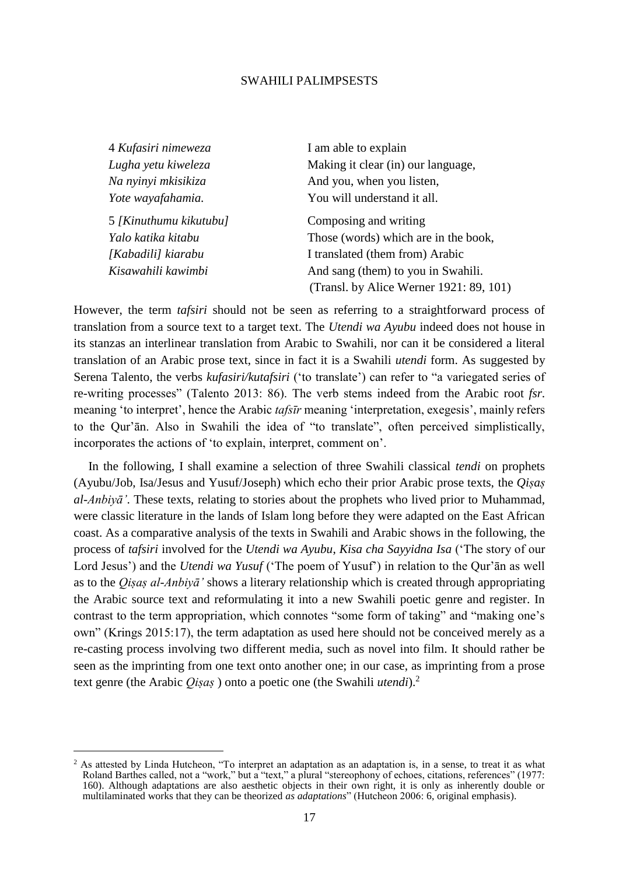| 4 Kufasiri nimeweza    | I am able to explain                    |
|------------------------|-----------------------------------------|
| Lugha yetu kiweleza    | Making it clear (in) our language,      |
| Na nyinyi mkisikiza    | And you, when you listen,               |
| Yote wayafahamia.      | You will understand it all.             |
| 5 [Kinuthumu kikutubu] | Composing and writing                   |
| Yalo katika kitabu     | Those (words) which are in the book,    |
| [Kabadili] kiarabu     | I translated (them from) Arabic         |
| Kisawahili kawimbi     | And sang (them) to you in Swahili.      |
|                        | (Transl. by Alice Werner 1921: 89, 101) |

However, the term *tafsiri* should not be seen as referring to a straightforward process of translation from a source text to a target text. The *Utendi wa Ayubu* indeed does not house in its stanzas an interlinear translation from Arabic to Swahili, nor can it be considered a literal translation of an Arabic prose text, since in fact it is a Swahili *utendi* form. As suggested by Serena Talento, the verbs *kufasiri/kutafsiri* ('to translate') can refer to "a variegated series of re-writing processes" (Talento 2013: 86). The verb stems indeed from the Arabic root *fsr.* meaning 'to interpret', hence the Arabic *tafsīr* meaning 'interpretation, exegesis', mainly refers to the Qur'ān. Also in Swahili the idea of "to translate", often perceived simplistically, incorporates the actions of 'to explain, interpret, comment on'.

In the following, I shall examine a selection of three Swahili classical *tendi* on prophets (Ayubu/Job, Isa/Jesus and Yusuf/Joseph) which echo their prior Arabic prose texts, the *Qiṣaṣ al-Anbiyā'*. These texts, relating to stories about the prophets who lived prior to Muhammad, were classic literature in the lands of Islam long before they were adapted on the East African coast. As a comparative analysis of the texts in Swahili and Arabic shows in the following, the process of *tafsiri* involved for the *Utendi wa Ayubu*, *Kisa cha Sayyidna Isa* ('The story of our Lord Jesus') and the *Utendi wa Yusuf* ('The poem of Yusuf') in relation to the Qur'ān as well as to the *Qiṣaṣ al-Anbiyā'* shows a literary relationship which is created through appropriating the Arabic source text and reformulating it into a new Swahili poetic genre and register. In contrast to the term appropriation, which connotes "some form of taking" and "making one's own" (Krings 2015:17), the term adaptation as used here should not be conceived merely as a re-casting process involving two different media, such as novel into film. It should rather be seen as the imprinting from one text onto another one; in our case, as imprinting from a prose text genre (the Arabic *Qiṣaṣ* ) onto a poetic one (the Swahili *utendi*).<sup>2</sup>

 $2^2$  As attested by Linda Hutcheon, "To interpret an adaptation as an adaptation is, in a sense, to treat it as what Roland Barthes called, not a "work," but a "text," a plural "stereophony of echoes, citations, references" (1977: 160). Although adaptations are also aesthetic objects in their own right, it is only as inherently double or multilaminated works that they can be theorized *as adaptations*" (Hutcheon 2006: 6, original emphasis).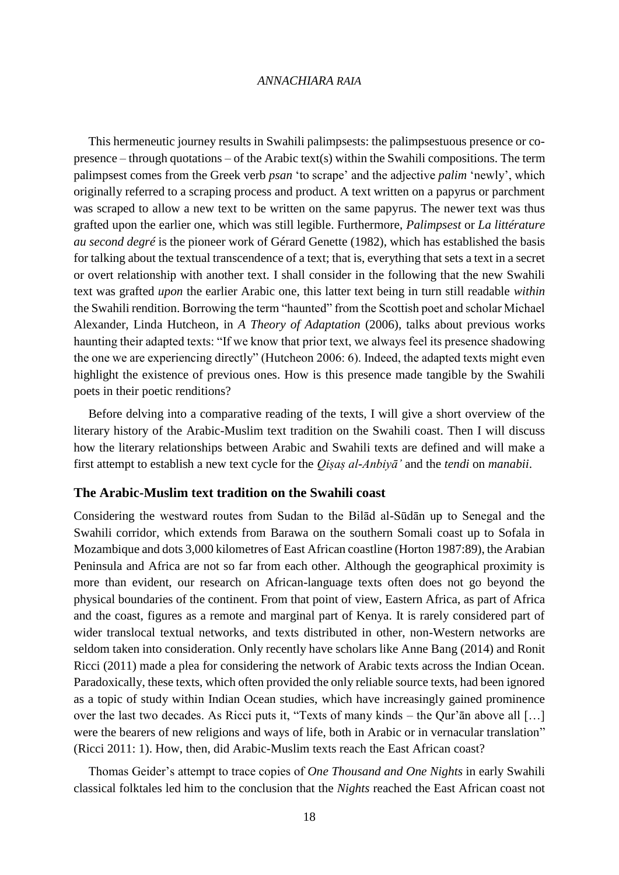This hermeneutic journey results in Swahili palimpsests: the palimpsestuous presence or copresence – through quotations – of the Arabic text(s) within the Swahili compositions. The term palimpsest comes from the Greek verb *psan* 'to scrape' and the adjective *palim* 'newly', which originally referred to a scraping process and product. A text written on a papyrus or parchment was scraped to allow a new text to be written on the same papyrus. The newer text was thus grafted upon the earlier one, which was still legible. Furthermore, *Palimpsest* or *La littérature au second degré* is the pioneer work of Gérard Genette (1982), which has established the basis for talking about the textual transcendence of a text; that is, everything that sets a text in a secret or overt relationship with another text. I shall consider in the following that the new Swahili text was grafted *upon* the earlier Arabic one, this latter text being in turn still readable *within* the Swahili rendition. Borrowing the term "haunted" from the Scottish poet and scholar Michael Alexander, Linda Hutcheon, in *A Theory of Adaptation* (2006), talks about previous works haunting their adapted texts: "If we know that prior text, we always feel its presence shadowing the one we are experiencing directly" (Hutcheon 2006: 6). Indeed, the adapted texts might even highlight the existence of previous ones. How is this presence made tangible by the Swahili poets in their poetic renditions?

Before delving into a comparative reading of the texts, I will give a short overview of the literary history of the Arabic-Muslim text tradition on the Swahili coast. Then I will discuss how the literary relationships between Arabic and Swahili texts are defined and will make a first attempt to establish a new text cycle for the *Qiṣaṣ al-Anbiyā'* and the *tendi* on *manabii*.

### **The Arabic-Muslim text tradition on the Swahili coast**

Considering the westward routes from Sudan to the Bilād al-Sūdān up to Senegal and the Swahili corridor, which extends from Barawa on the southern Somali coast up to Sofala in Mozambique and dots 3,000 kilometres of East African coastline (Horton 1987:89), the Arabian Peninsula and Africa are not so far from each other. Although the geographical proximity is more than evident, our research on African-language texts often does not go beyond the physical boundaries of the continent. From that point of view, Eastern Africa, as part of Africa and the coast, figures as a remote and marginal part of Kenya. It is rarely considered part of wider translocal textual networks, and texts distributed in other, non-Western networks are seldom taken into consideration. Only recently have scholars like Anne Bang (2014) and Ronit Ricci (2011) made a plea for considering the network of Arabic texts across the Indian Ocean. Paradoxically, these texts, which often provided the only reliable source texts, had been ignored as a topic of study within Indian Ocean studies, which have increasingly gained prominence over the last two decades. As Ricci puts it, "Texts of many kinds – the Qur'ān above all […] were the bearers of new religions and ways of life, both in Arabic or in vernacular translation" (Ricci 2011: 1). How, then, did Arabic-Muslim texts reach the East African coast?

Thomas Geider's attempt to trace copies of *One Thousand and One Nights* in early Swahili classical folktales led him to the conclusion that the *Nights* reached the East African coast not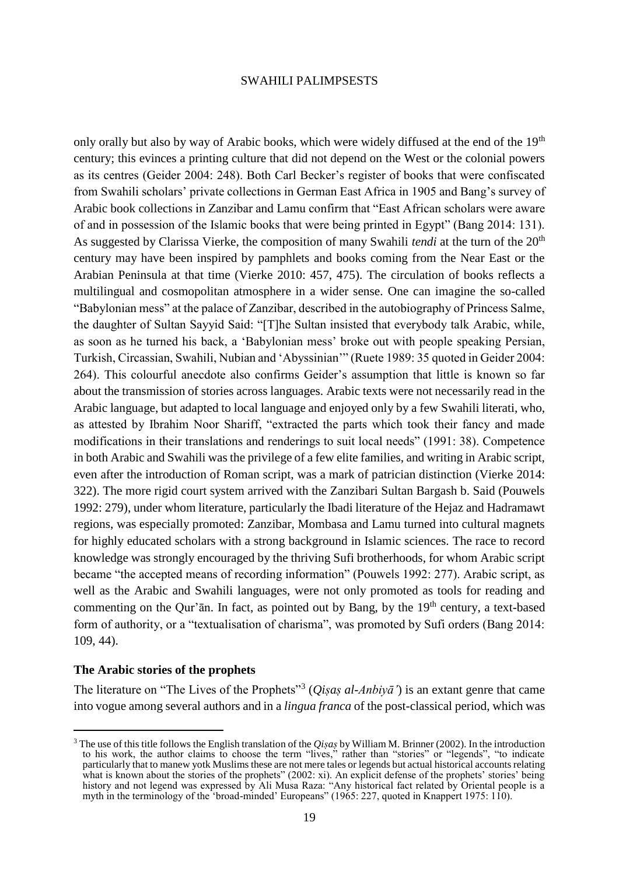only orally but also by way of Arabic books, which were widely diffused at the end of the  $19<sup>th</sup>$ century; this evinces a printing culture that did not depend on the West or the colonial powers as its centres (Geider 2004: 248). Both Carl Becker's register of books that were confiscated from Swahili scholars' private collections in German East Africa in 1905 and Bang's survey of Arabic book collections in Zanzibar and Lamu confirm that "East African scholars were aware of and in possession of the Islamic books that were being printed in Egypt" (Bang 2014: 131). As suggested by Clarissa Vierke, the composition of many Swahili *tendi* at the turn of the 20<sup>th</sup> century may have been inspired by pamphlets and books coming from the Near East or the Arabian Peninsula at that time (Vierke 2010: 457, 475). The circulation of books reflects a multilingual and cosmopolitan atmosphere in a wider sense. One can imagine the so-called "Babylonian mess" at the palace of Zanzibar, described in the autobiography of Princess Salme, the daughter of Sultan Sayyid Said: "[T]he Sultan insisted that everybody talk Arabic, while, as soon as he turned his back, a 'Babylonian mess' broke out with people speaking Persian, Turkish, Circassian, Swahili, Nubian and 'Abyssinian'" (Ruete 1989: 35 quoted in Geider 2004: 264). This colourful anecdote also confirms Geider's assumption that little is known so far about the transmission of stories across languages. Arabic texts were not necessarily read in the Arabic language, but adapted to local language and enjoyed only by a few Swahili literati, who, as attested by Ibrahim Noor Shariff, "extracted the parts which took their fancy and made modifications in their translations and renderings to suit local needs" (1991: 38). Competence in both Arabic and Swahili was the privilege of a few elite families, and writing in Arabic script, even after the introduction of Roman script, was a mark of patrician distinction (Vierke 2014: 322). The more rigid court system arrived with the Zanzibari Sultan Bargash b. Said (Pouwels 1992: 279), under whom literature, particularly the Ibadi literature of the Hejaz and Hadramawt regions, was especially promoted: Zanzibar, Mombasa and Lamu turned into cultural magnets for highly educated scholars with a strong background in Islamic sciences. The race to record knowledge was strongly encouraged by the thriving Sufi brotherhoods, for whom Arabic script became "the accepted means of recording information" (Pouwels 1992: 277). Arabic script, as well as the Arabic and Swahili languages, were not only promoted as tools for reading and commenting on the Qur'an. In fact, as pointed out by Bang, by the  $19<sup>th</sup>$  century, a text-based form of authority, or a "textualisation of charisma", was promoted by Sufi orders (Bang 2014: 109, 44).

### **The Arabic stories of the prophets**

l

The literature on "The Lives of the Prophets"<sup>3</sup> (*Qiṣaṣ al-Anbiyā'*) is an extant genre that came into vogue among several authors and in a *lingua franca* of the post-classical period, which was

<sup>3</sup> The use of this title follows the English translation of the *Qiṣaṣ* by William M. Brinner (2002). In the introduction to his work, the author claims to choose the term "lives," rather than "stories" or "legends", "to indicate particularly that to manew yotk Muslims these are not mere tales or legends but actual historical accounts relating what is known about the stories of the prophets" (2002: xi). An explicit defense of the prophets' stories' being history and not legend was expressed by Ali Musa Raza: "Any historical fact related by Oriental people is a myth in the terminology of the 'broad-minded' Europeans" (1965: 227, quoted in Knappert 1975: 110).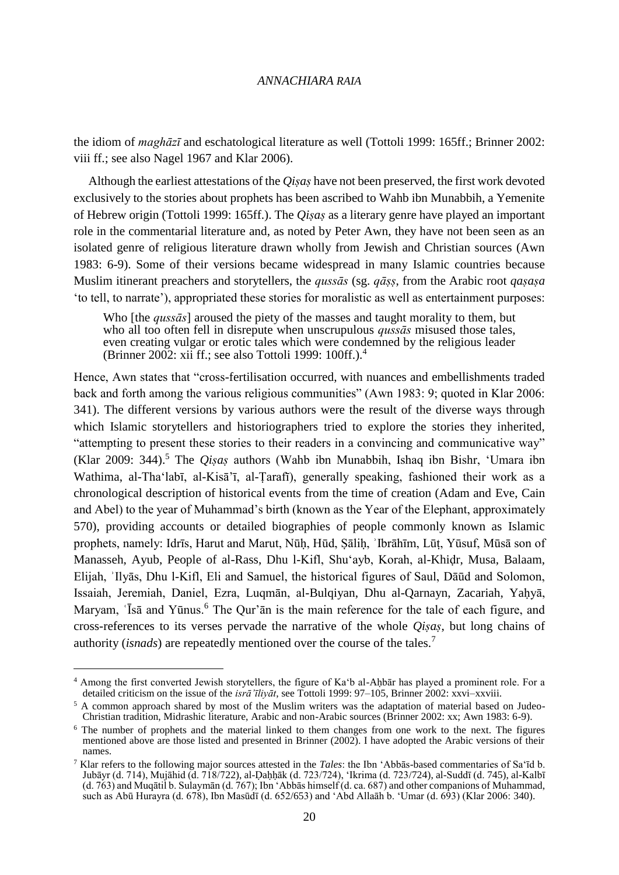the idiom of *maghāzī* and eschatological literature as well (Tottoli 1999: 165ff.; Brinner 2002: viii ff.; see also Nagel 1967 and Klar 2006).

Although the earliest attestations of the *Qiṣaṣ* have not been preserved, the first work devoted exclusively to the stories about prophets has been ascribed to Wahb ibn Munabbih, a Yemenite of Hebrew origin (Tottoli 1999: 165ff.). The *Qiṣaṣ* as a literary genre have played an important role in the commentarial literature and, as noted by Peter Awn, they have not been seen as an isolated genre of religious literature drawn wholly from Jewish and Christian sources (Awn 1983: 6-9). Some of their versions became widespread in many Islamic countries because Muslim itinerant preachers and storytellers, the *qussās* (sg. *qāss*, from the Arabic root *qasasa* 'to tell, to narrate'), appropriated these stories for moralistic as well as entertainment purposes:

Who [the *qussās*] aroused the piety of the masses and taught morality to them, but who all too often fell in disrepute when unscrupulous *qussās* misused those tales, even creating vulgar or erotic tales which were condemned by the religious leader (Brinner 2002: xii ff.; see also Tottoli 1999: 100ff.).<sup>4</sup>

Hence, Awn states that "cross-fertilisation occurred, with nuances and embellishments traded back and forth among the various religious communities" (Awn 1983: 9; quoted in Klar 2006: 341). The different versions by various authors were the result of the diverse ways through which Islamic storytellers and historiographers tried to explore the stories they inherited, "attempting to present these stories to their readers in a convincing and communicative way" (Klar 2009: 344).<sup>5</sup> The *Qiṣaṣ* authors (Wahb ibn Munabbih, Ishaq ibn Bishr, 'Umara ibn Wathima, al-Tha'labī, al-Kisā'ī, al-Ṭarafī), generally speaking, fashioned their work as a chronological description of historical events from the time of creation (Adam and Eve, Cain and Abel) to the year of Muhammad's birth (known as the Year of the Elephant, approximately 570), providing accounts or detailed biographies of people commonly known as Islamic prophets, namely: Idrīs, Harut and Marut, Nūḥ, Hūd, Ṣāliḥ, ʾIbrāhīm, Lūṭ, Yūsuf, Mūsā son of Manasseh, Ayub, People of al-Rass, Dhu l-Kifl, Shu'ayb, Korah, al-Khiḍr, Musa, Balaam, Elijah, ʾIlyās, Dhu l-Kifl, Eli and Samuel, the historical figures of Saul, Dāūd and Solomon, Issaiah, Jeremiah, Daniel, Ezra, Luqmān, al-Bulqiyan, Dhu al-Qarnayn, Zacariah, Yaḥyā, Maryam, 'Isa and Yūnus.<sup>6</sup> The Qur'an is the main reference for the tale of each figure, and cross-references to its verses pervade the narrative of the whole *Qiṣaṣ*, but long chains of authority (*isnads*) are repeatedly mentioned over the course of the tales.<sup>7</sup>

<sup>&</sup>lt;sup>4</sup> Among the first converted Jewish storytellers, the figure of Ka<sup>\*</sup>b al-Ahbār has played a prominent role. For a detailed criticism on the issue of the *isrā'īliyāt*, see Tottoli 1999: 97–105, Brinner 2002: xxvi–xxviii.

<sup>&</sup>lt;sup>5</sup> A common approach shared by most of the Muslim writers was the adaptation of material based on Judeo-Christian tradition, Midrashic literature, Arabic and non-Arabic sources (Brinner 2002: xx; Awn 1983: 6-9).

<sup>6</sup> The number of prophets and the material linked to them changes from one work to the next. The figures mentioned above are those listed and presented in Brinner (2002). I have adopted the Arabic versions of their names.

<sup>7</sup> Klar refers to the following major sources attested in the *Tales*: the Ibn 'Abbās-based commentaries of Sa'īd b. Jubāyr (d. 714), Mujāhid (d. 718/722), al-Ḍaḥḥāk (d. 723/724), 'Ikrima (d. 723/724), al-Suddī (d. 745), al-Kalbī (d. 763) and Muqātil b. Sulaymān (d. 767); Ibn 'Abbās himself (d. ca. 687) and other companions of Muhammad, such as Abū Hurayra (d. 678), Ibn Masūdī (d. 652/653) and 'Abd Allaāh b. 'Umar (d. 693) (Klar 2006: 340).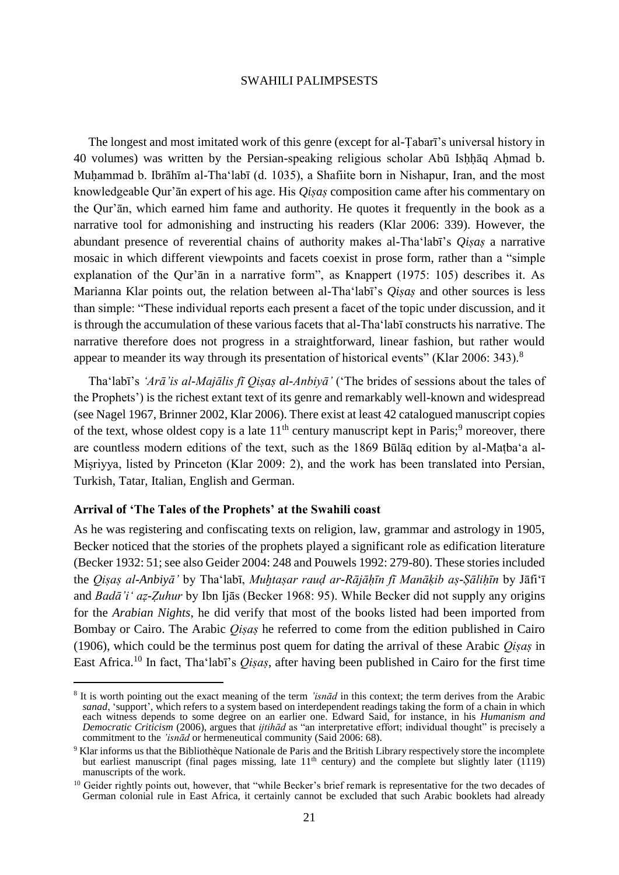The longest and most imitated work of this genre (except for al-Ṭabarī's universal history in 40 volumes) was written by the Persian-speaking religious scholar Abū Ishhāq Ahmad b. Muḥammad b. Ibrāhīm al-Tha'labī (d. 1035), a Shafiite born in Nishapur, Iran, and the most knowledgeable Qur'ān expert of his age. His *Qiṣaṣ* composition came after his commentary on the Qur'ān, which earned him fame and authority. He quotes it frequently in the book as a narrative tool for admonishing and instructing his readers (Klar 2006: 339). However, the abundant presence of reverential chains of authority makes al-Tha'labī's *Qiṣaṣ* a narrative mosaic in which different viewpoints and facets coexist in prose form, rather than a "simple explanation of the Qur'ān in a narrative form", as Knappert (1975: 105) describes it. As Marianna Klar points out, the relation between al-Tha<sup>t</sup>labī's *Oisas* and other sources is less than simple: "These individual reports each present a facet of the topic under discussion, and it is through the accumulation of these various facets that al-Tha'labī constructs his narrative. The narrative therefore does not progress in a straightforward, linear fashion, but rather would appear to meander its way through its presentation of historical events" (Klar 2006: 343).<sup>8</sup>

Tha'labī's *'Arā'is al-Majālis fī Qiṣaṣ al-Anbiyā'* ('The brides of sessions about the tales of the Prophets') is the richest extant text of its genre and remarkably well-known and widespread (see Nagel 1967, Brinner 2002, Klar 2006). There exist at least 42 catalogued manuscript copies of the text, whose oldest copy is a late  $11<sup>th</sup>$  century manuscript kept in Paris;<sup>9</sup> moreover, there are countless modern editions of the text, such as the 1869 Būlāq edition by al-Maṭba'a al-Miṣriyya, listed by Princeton (Klar 2009: 2), and the work has been translated into Persian, Turkish, Tatar, Italian, English and German.

### **Arrival of 'The Tales of the Prophets' at the Swahili coast**

 $\overline{\phantom{a}}$ 

As he was registering and confiscating texts on religion, law, grammar and astrology in 1905, Becker noticed that the stories of the prophets played a significant role as edification literature (Becker 1932: 51; see also Geider 2004: 248 and Pouwels 1992: 279-80). These stories included the *Qiṣaṣ al-Anbiyā'* by Tha'labī, *Muḫtaṣar rauḍ ar-Rājāḥīn fī Manāḳib aṣ-Ṣāliḥīn* by Jāfi'ī and *Badā'i' aẓ-Ẓuhur* by Ibn Ijās (Becker 1968: 95). While Becker did not supply any origins for the *Arabian Nights*, he did verify that most of the books listed had been imported from Bombay or Cairo. The Arabic *Qiṣaṣ* he referred to come from the edition published in Cairo (1906), which could be the terminus post quem for dating the arrival of these Arabic *Qiṣaṣ* in East Africa.<sup>10</sup> In fact, Tha'labī's *Qiṣaṣ*, after having been published in Cairo for the first time

<sup>8</sup> It is worth pointing out the exact meaning of the term *'isnād* in this context; the term derives from the Arabic *sanad*, 'support', which refers to a system based on interdependent readings taking the form of a chain in which each witness depends to some degree on an earlier one. Edward Said, for instance, in his *Humanism and Democratic Criticism* (2006), argues that *ijtihād* as "an interpretative effort; individual thought" is precisely a commitment to the *'isnād* or hermeneutical community (Said 2006: 68).

<sup>9</sup> Klar informs us that the Bibliothèque Nationale de Paris and the British Library respectively store the incomplete but earliest manuscript (final pages missing, late  $11<sup>th</sup>$  century) and the complete but slightly later (1119) manuscripts of the work.

 $10$  Geider rightly points out, however, that "while Becker's brief remark is representative for the two decades of German colonial rule in East Africa, it certainly cannot be excluded that such Arabic booklets had already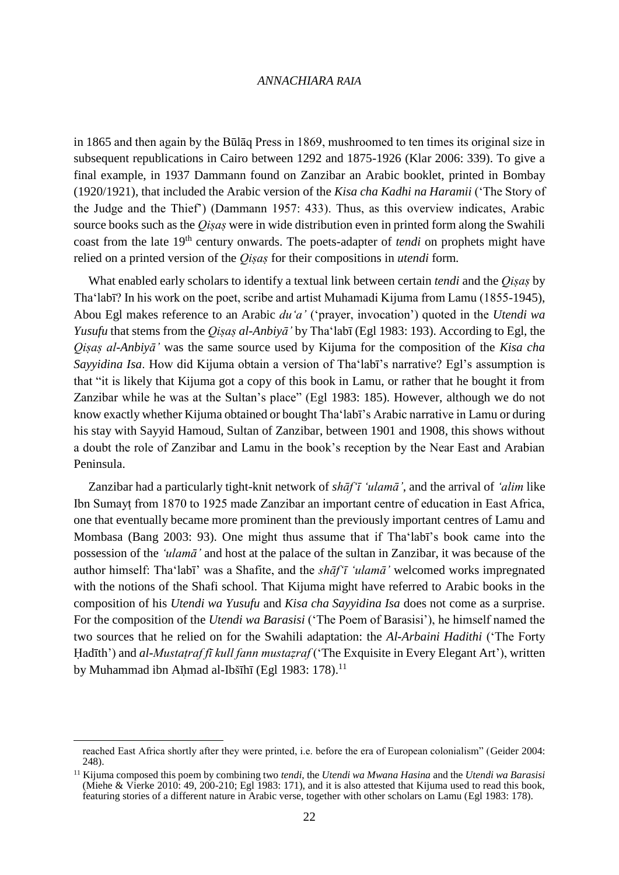in 1865 and then again by the Būlāq Press in 1869, mushroomed to ten times its original size in subsequent republications in Cairo between 1292 and 1875-1926 (Klar 2006: 339). To give a final example, in 1937 Dammann found on Zanzibar an Arabic booklet, printed in Bombay (1920/1921), that included the Arabic version of the *Kisa cha Kadhi na Haramii* ('The Story of the Judge and the Thief') (Dammann 1957: 433). Thus, as this overview indicates, Arabic source books such as the *Oisas* were in wide distribution even in printed form along the Swahili coast from the late 19th century onwards. The poets-adapter of *tendi* on prophets might have relied on a printed version of the *Qiṣaṣ* for their compositions in *utendi* form*.*

What enabled early scholars to identify a textual link between certain *tendi* and the *Qiṣaṣ* by Tha'labī? In his work on the poet, scribe and artist Muhamadi Kijuma from Lamu (1855-1945), Abou Egl makes reference to an Arabic *du'a'* ('prayer, invocation') quoted in the *Utendi wa Yusufu* that stems from the *Qiṣaṣ al-Anbiyā'* by Tha'labī (Egl 1983: 193). According to Egl, the *Qiṣaṣ al-Anbiyā'* was the same source used by Kijuma for the composition of the *Kisa cha Sayyidina Isa*. How did Kijuma obtain a version of Tha'labī's narrative? Egl's assumption is that "it is likely that Kijuma got a copy of this book in Lamu, or rather that he bought it from Zanzibar while he was at the Sultan's place" (Egl 1983: 185). However, although we do not know exactly whether Kijuma obtained or bought Tha'labī's Arabic narrative in Lamu or during his stay with Sayyid Hamoud, Sultan of Zanzibar, between 1901 and 1908, this shows without a doubt the role of Zanzibar and Lamu in the book's reception by the Near East and Arabian Peninsula.

Zanzibar had a particularly tight-knit network of *shāf'ī 'ulamā'*, and the arrival of *'alim* like Ibn Sumayṭ from 1870 to 1925 made Zanzibar an important centre of education in East Africa, one that eventually became more prominent than the previously important centres of Lamu and Mombasa (Bang 2003: 93). One might thus assume that if Tha'labī's book came into the possession of the *'ulamā'* and host at the palace of the sultan in Zanzibar, it was because of the author himself: Tha'labī' was a Shafite, and the *shāf'ī 'ulamā'* welcomed works impregnated with the notions of the Shafi school. That Kijuma might have referred to Arabic books in the composition of his *Utendi wa Yusufu* and *Kisa cha Sayyidina Isa* does not come as a surprise. For the composition of the *Utendi wa Barasisi* ('The Poem of Barasisi'), he himself named the two sources that he relied on for the Swahili adaptation: the *Al-Arbaini Hadithi* ('The Forty Hadīth') and *al-Mustatraf fī kull fann mustazraf* ('The Exquisite in Every Elegant Art'), written by Muhammad ibn Ahmad al-Ibšīhī (Egl 1983: 178).<sup>11</sup>

reached East Africa shortly after they were printed, i.e. before the era of European colonialism" (Geider 2004: 248).

<sup>11</sup> Kijuma composed this poem by combining two *tendi*, the *Utendi wa Mwana Hasina* and the *Utendi wa Barasisi* (Miehe & Vierke 2010: 49, 200-210; Egl 1983: 171), and it is also attested that Kijuma used to read this book, featuring stories of a different nature in Arabic verse, together with other scholars on Lamu (Egl 1983: 178).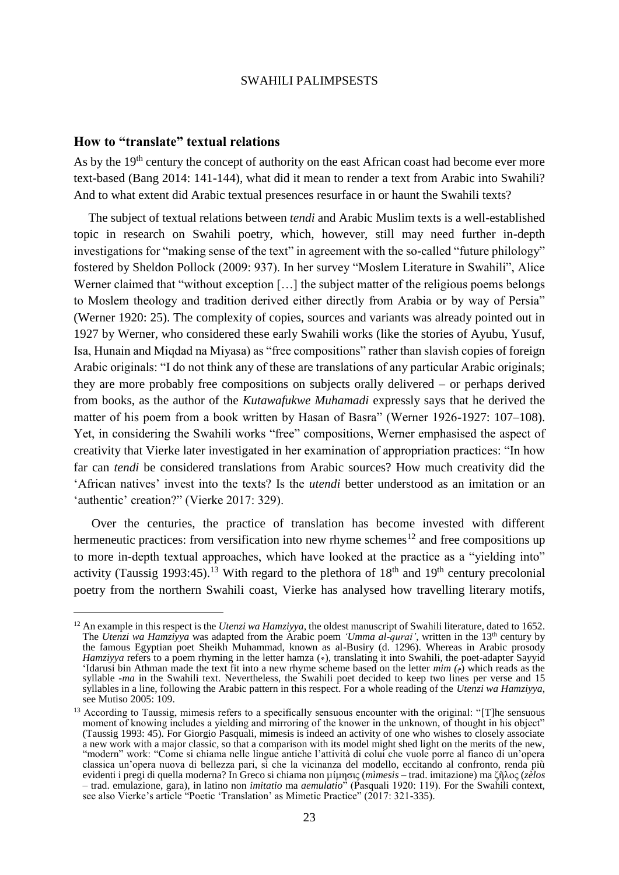### **How to "translate" textual relations**

 $\overline{\phantom{a}}$ 

As by the 19<sup>th</sup> century the concept of authority on the east African coast had become ever more text-based (Bang 2014: 141-144), what did it mean to render a text from Arabic into Swahili? And to what extent did Arabic textual presences resurface in or haunt the Swahili texts?

The subject of textual relations between *tendi* and Arabic Muslim texts is a well-established topic in research on Swahili poetry, which, however, still may need further in-depth investigations for "making sense of the text" in agreement with the so-called "future philology" fostered by Sheldon Pollock (2009: 937). In her survey "Moslem Literature in Swahili", Alice Werner claimed that "without exception [...] the subject matter of the religious poems belongs to Moslem theology and tradition derived either directly from Arabia or by way of Persia" (Werner 1920: 25). The complexity of copies, sources and variants was already pointed out in 1927 by Werner, who considered these early Swahili works (like the stories of Ayubu, Yusuf, Isa, Hunain and Miqdad na Miyasa) as "free compositions" rather than slavish copies of foreign Arabic originals: "I do not think any of these are translations of any particular Arabic originals; they are more probably free compositions on subjects orally delivered – or perhaps derived from books, as the author of the *Kutawafukwe Muhamadi* expressly says that he derived the matter of his poem from a book written by Hasan of Basra" (Werner 1926-1927: 107–108). Yet, in considering the Swahili works "free" compositions, Werner emphasised the aspect of creativity that Vierke later investigated in her examination of appropriation practices: "In how far can *tendi* be considered translations from Arabic sources? How much creativity did the 'African natives' invest into the texts? Is the *utendi* better understood as an imitation or an 'authentic' creation?" (Vierke 2017: 329).

Over the centuries, the practice of translation has become invested with different hermeneutic practices: from versification into new rhyme schemes<sup>12</sup> and free compositions up to more in-depth textual approaches, which have looked at the practice as a "yielding into" activity (Taussig 1993:45).<sup>13</sup> With regard to the plethora of  $18<sup>th</sup>$  and  $19<sup>th</sup>$  century precolonial poetry from the northern Swahili coast, Vierke has analysed how travelling literary motifs,

<sup>&</sup>lt;sup>12</sup> An example in this respect is the *Utenzi wa Hamziyya*, the oldest manuscript of Swahili literature, dated to 1652. The *Utenzi wa Hamziyya* was adapted from the Arabic poem *'Umma al-qurai'*, written in the 13th century by the famous Egyptian poet Sheikh Muhammad, known as al-Busiry (d. 1296). Whereas in Arabic prosody *Hamziyya* refers to a poem rhyming in the letter hamza ( $\epsilon$ ), translating it into Swahili, the poet-adapter Sayyid 'Idarusi bin Athman made the text fit into a new rhyme scheme based on the letter  $min(\phi)$  which reads as the syllable *-ma* in the Swahili text. Nevertheless, the Swahili poet decided to keep two lines per verse and 15 syllables in a line, following the Arabic pattern in this respect. For a whole reading of the *Utenzi wa Hamziyya*, see Mutiso 2005: 109.

<sup>&</sup>lt;sup>13</sup> According to Taussig, mimesis refers to a specifically sensuous encounter with the original: "[T]he sensuous moment of knowing includes a yielding and mirroring of the knower in the unknown, of thought in his object" (Taussig 1993: 45). For Giorgio Pasquali, mimesis is indeed an activity of one who wishes to closely associate a new work with a major classic, so that a comparison with its model might shed light on the merits of the new, "modern" work: "Come si chiama nelle lingue antiche l'attività di colui che vuole porre al fianco di un'opera classica un'opera nuova di bellezza pari, sì che la vicinanza del modello, eccitando al confronto, renda più evidenti i pregi di quella moderna? In Greco si chiama non µίµησις (*mìmesis* – trad. imitazione) ma ζῆλος (*zèlos* – trad. emulazione, gara), in latino non *imitatio* ma *aemulatio*" (Pasquali 1920: 119). For the Swahili context, see also Vierke's article "Poetic 'Translation' as Mimetic Practice" (2017: 321-335).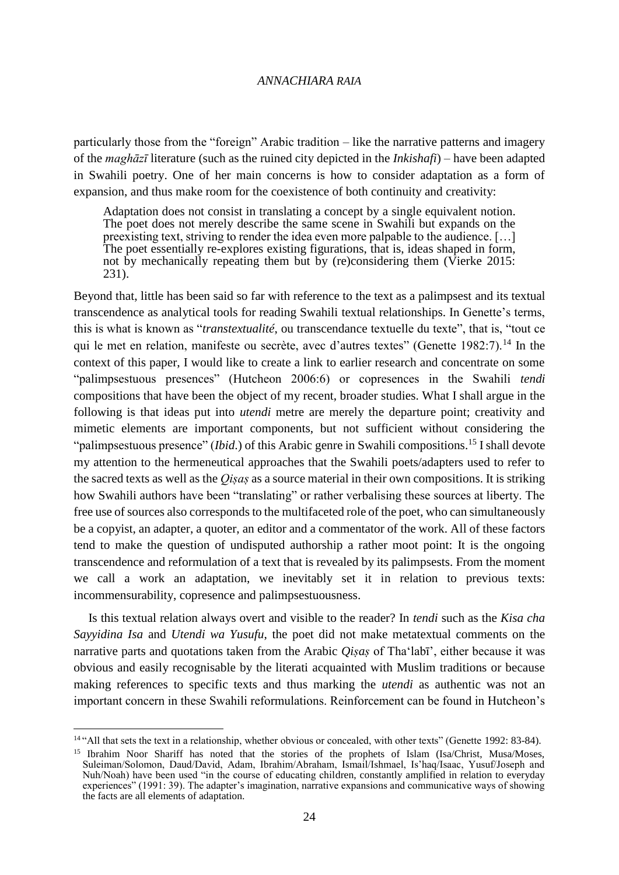particularly those from the "foreign" Arabic tradition – like the narrative patterns and imagery of the *maghāzī* literature (such as the ruined city depicted in the *Inkishafi*) – have been adapted in Swahili poetry. One of her main concerns is how to consider adaptation as a form of expansion, and thus make room for the coexistence of both continuity and creativity:

Adaptation does not consist in translating a concept by a single equivalent notion. The poet does not merely describe the same scene in Swahili but expands on the preexisting text, striving to render the idea even more palpable to the audience. […] The poet essentially re-explores existing figurations, that is, ideas shaped in form, not by mechanically repeating them but by (re)considering them (Vierke 2015: 231).

Beyond that, little has been said so far with reference to the text as a palimpsest and its textual transcendence as analytical tools for reading Swahili textual relationships. In Genette's terms, this is what is known as "*transtextualité*, ou transcendance textuelle du texte", that is, "tout ce qui le met en relation, manifeste ou secrète, avec d'autres textes" (Genette 1982:7).<sup>14</sup> In the context of this paper, I would like to create a link to earlier research and concentrate on some "palimpsestuous presences" (Hutcheon 2006:6) or copresences in the Swahili *tendi* compositions that have been the object of my recent, broader studies. What I shall argue in the following is that ideas put into *utendi* metre are merely the departure point; creativity and mimetic elements are important components, but not sufficient without considering the "palimpsestuous presence" *(Ibid.)* of this Arabic genre in Swahili compositions.<sup>15</sup> I shall devote my attention to the hermeneutical approaches that the Swahili poets/adapters used to refer to the sacred texts as well as the *Qiṣaṣ* as a source material in their own compositions. It is striking how Swahili authors have been "translating" or rather verbalising these sources at liberty. The free use of sources also corresponds to the multifaceted role of the poet, who can simultaneously be a copyist, an adapter, a quoter, an editor and a commentator of the work. All of these factors tend to make the question of undisputed authorship a rather moot point: It is the ongoing transcendence and reformulation of a text that is revealed by its palimpsests. From the moment we call a work an adaptation, we inevitably set it in relation to previous texts: incommensurability, copresence and palimpsestuousness.

Is this textual relation always overt and visible to the reader? In *tendi* such as the *Kisa cha Sayyidina Isa* and *Utendi wa Yusufu*, the poet did not make metatextual comments on the narrative parts and quotations taken from the Arabic *Qiṣaṣ* of Tha'labī', either because it was obvious and easily recognisable by the literati acquainted with Muslim traditions or because making references to specific texts and thus marking the *utendi* as authentic was not an important concern in these Swahili reformulations. Reinforcement can be found in Hutcheon's

<sup>&</sup>lt;sup>14</sup> "All that sets the text in a relationship, whether obvious or concealed, with other texts" (Genette 1992: 83-84).

<sup>&</sup>lt;sup>15</sup> Ibrahim Noor Shariff has noted that the stories of the prophets of Islam (Isa/Christ, Musa/Moses, Suleiman/Solomon, Daud/David, Adam, Ibrahim/Abraham, Ismail/Ishmael, Is'haq/Isaac, Yusuf/Joseph and Nuh/Noah) have been used "in the course of educating children, constantly amplified in relation to everyday experiences" (1991: 39). The adapter's imagination, narrative expansions and communicative ways of showing the facts are all elements of adaptation.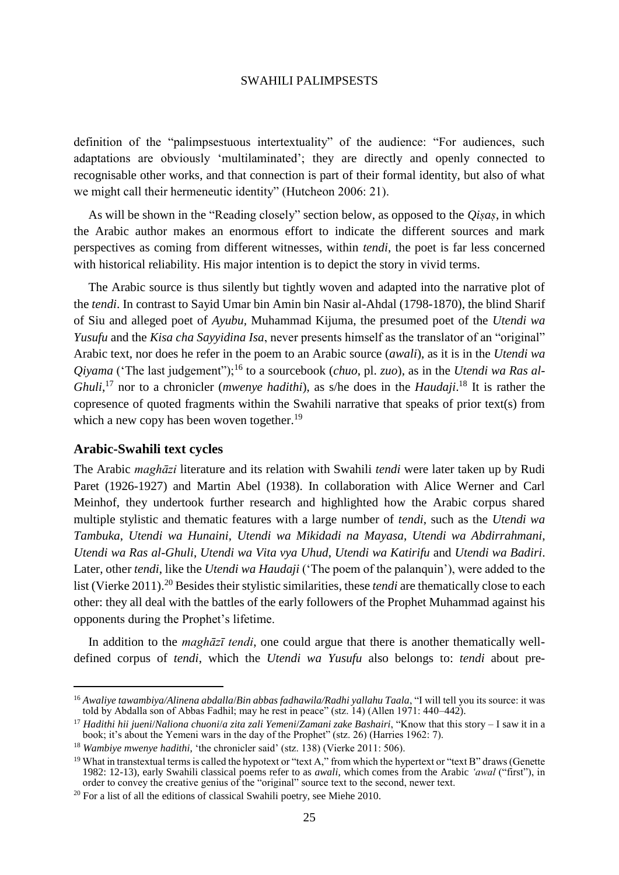definition of the "palimpsestuous intertextuality" of the audience: "For audiences, such adaptations are obviously 'multilaminated'; they are directly and openly connected to recognisable other works, and that connection is part of their formal identity, but also of what we might call their hermeneutic identity" (Hutcheon 2006: 21).

As will be shown in the "Reading closely" section below, as opposed to the *Qiṣaṣ*, in which the Arabic author makes an enormous effort to indicate the different sources and mark perspectives as coming from different witnesses, within *tendi*, the poet is far less concerned with historical reliability. His major intention is to depict the story in vivid terms.

The Arabic source is thus silently but tightly woven and adapted into the narrative plot of the *tendi*. In contrast to Sayid Umar bin Amin bin Nasir al-Ahdal (1798-1870), the blind Sharif of Siu and alleged poet of *Ayubu,* Muhammad Kijuma, the presumed poet of the *Utendi wa Yusufu* and the *Kisa cha Sayyidina Isa*, never presents himself as the translator of an "original" Arabic text, nor does he refer in the poem to an Arabic source (*awali*), as it is in the *Utendi wa Qiyama* ('The last judgement");<sup>16</sup> to a sourcebook (*chuo*, pl. *zuo*), as in the *Utendi wa Ras al-Ghuli*,<sup>17</sup> nor to a chronicler (*mwenye hadithi*), as s/he does in the *Haudaji*.<sup>18</sup> It is rather the copresence of quoted fragments within the Swahili narrative that speaks of prior text(s) from which a new copy has been woven together.<sup>19</sup>

### **Arabic-Swahili text cycles**

l

The Arabic *maghāzi* literature and its relation with Swahili *tendi* were later taken up by Rudi Paret (1926-1927) and Martin Abel (1938). In collaboration with Alice Werner and Carl Meinhof, they undertook further research and highlighted how the Arabic corpus shared multiple stylistic and thematic features with a large number of *tendi*, such as the *Utendi wa Tambuka*, *Utendi wa Hunaini*, *Utendi wa Mikidadi na Mayasa*, *Utendi wa Abdirrahmani*, *Utendi wa Ras al-Ghuli*, *Utendi wa Vita vya Uhud*, *Utendi wa Katirifu* and *Utendi wa Badiri*. Later, other *tendi*, like the *Utendi wa Haudaji* ('The poem of the palanquin'), were added to the list (Vierke 2011).<sup>20</sup> Besides their stylistic similarities, these *tendi* are thematically close to each other: they all deal with the battles of the early followers of the Prophet Muhammad against his opponents during the Prophet's lifetime.

In addition to the *maghāzī tendi*, one could argue that there is another thematically welldefined corpus of *tendi*, which the *Utendi wa Yusufu* also belongs to: *tendi* about pre-

<sup>16</sup> *Awaliye tawambiya/Alinena abdalla*/*Bin abbas fadhawila/Radhi yallahu Taala*, "I will tell you its source: it was told by Abdalla son of Abbas Fadhil; may he rest in peace" (stz. 14) (Allen 1971: 440–442).

<sup>17</sup> *Hadithi hii jueni*/*Naliona chuoni*/*a zita zali Yemeni*/*Zamani zake Bashairi*, "Know that this story – I saw it in a book; it's about the Yemeni wars in the day of the Prophet" (stz. 26) (Harries 1962: 7).

<sup>18</sup> *Wambiye mwenye hadithi*, 'the chronicler said' (stz. 138) (Vierke 2011: 506).

<sup>&</sup>lt;sup>19</sup> What in transtextual terms is called the hypotext or "text A," from which the hypertext or "text B" draws (Genette 1982: 12-13), early Swahili classical poems refer to as *awali*, which comes from the Arabic *'awal* ("first"), in order to convey the creative genius of the "original" source text to the second, newer text.

 $20$  For a list of all the editions of classical Swahili poetry, see Miehe 2010.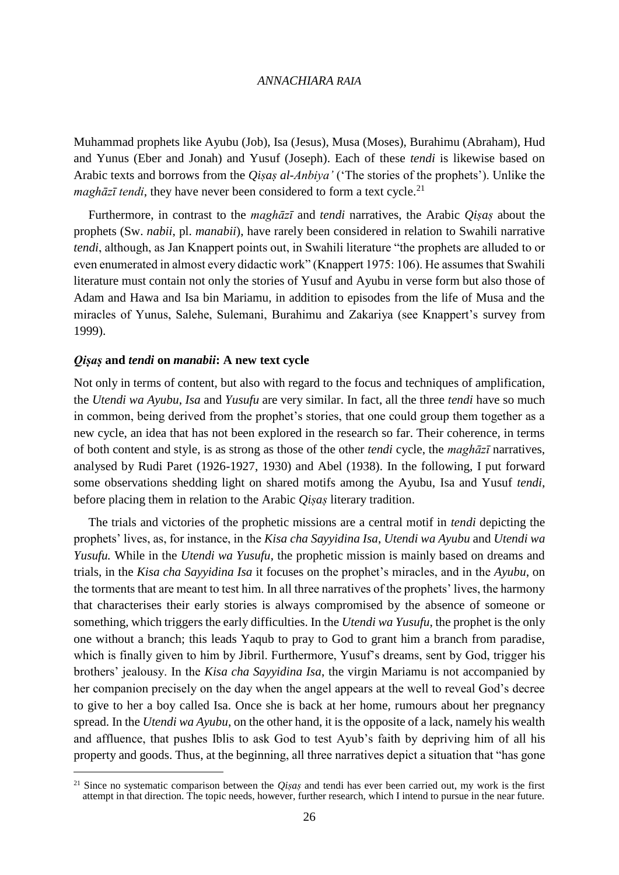Muhammad prophets like Ayubu (Job), Isa (Jesus), Musa (Moses), Burahimu (Abraham), Hud and Yunus (Eber and Jonah) and Yusuf (Joseph). Each of these *tendi* is likewise based on Arabic texts and borrows from the *Qiṣaṣ al-Anbiya'* ('The stories of the prophets'). Unlike the *maghāzī tendi*, they have never been considered to form a text cycle.<sup>21</sup>

Furthermore, in contrast to the *maghāzī* and *tendi* narratives, the Arabic *Qiṣaṣ* about the prophets (Sw. *nabii*, pl. *manabii*), have rarely been considered in relation to Swahili narrative *tendi*, although, as Jan Knappert points out, in Swahili literature "the prophets are alluded to or even enumerated in almost every didactic work" (Knappert 1975: 106). He assumes that Swahili literature must contain not only the stories of Yusuf and Ayubu in verse form but also those of Adam and Hawa and Isa bin Mariamu, in addition to episodes from the life of Musa and the miracles of Yunus, Salehe, Sulemani, Burahimu and Zakariya (see Knappert's survey from 1999).

### *Qiṣaṣ* **and** *tendi* **on** *manabii***: A new text cycle**

 $\overline{\phantom{a}}$ 

Not only in terms of content, but also with regard to the focus and techniques of amplification, the *Utendi wa Ayubu*, *Isa* and *Yusufu* are very similar. In fact, all the three *tendi* have so much in common, being derived from the prophet's stories, that one could group them together as a new cycle, an idea that has not been explored in the research so far. Their coherence, in terms of both content and style, is as strong as those of the other *tendi* cycle, the *maghāzī* narratives, analysed by Rudi Paret (1926-1927, 1930) and Abel (1938). In the following, I put forward some observations shedding light on shared motifs among the Ayubu, Isa and Yusuf *tendi*, before placing them in relation to the Arabic *Qiṣaṣ* literary tradition.

The trials and victories of the prophetic missions are a central motif in *tendi* depicting the prophets' lives, as, for instance, in the *Kisa cha Sayyidina Isa*, *Utendi wa Ayubu* and *Utendi wa Yusufu.* While in the *Utendi wa Yusufu*, the prophetic mission is mainly based on dreams and trials, in the *Kisa cha Sayyidina Isa* it focuses on the prophet's miracles, and in the *Ayubu*, on the torments that are meant to test him. In all three narratives of the prophets' lives, the harmony that characterises their early stories is always compromised by the absence of someone or something, which triggers the early difficulties. In the *Utendi wa Yusufu*, the prophet is the only one without a branch; this leads Yaqub to pray to God to grant him a branch from paradise, which is finally given to him by Jibril. Furthermore, Yusuf's dreams, sent by God, trigger his brothers' jealousy. In the *Kisa cha Sayyidina Isa*, the virgin Mariamu is not accompanied by her companion precisely on the day when the angel appears at the well to reveal God's decree to give to her a boy called Isa. Once she is back at her home, rumours about her pregnancy spread. In the *Utendi wa Ayubu*, on the other hand, it is the opposite of a lack, namely his wealth and affluence, that pushes Iblis to ask God to test Ayub's faith by depriving him of all his property and goods. Thus, at the beginning, all three narratives depict a situation that "has gone

<sup>&</sup>lt;sup>21</sup> Since no systematic comparison between the *Qisas* and tendi has ever been carried out, my work is the first attempt in that direction. The topic needs, however, further research, which I intend to pursue in the near future.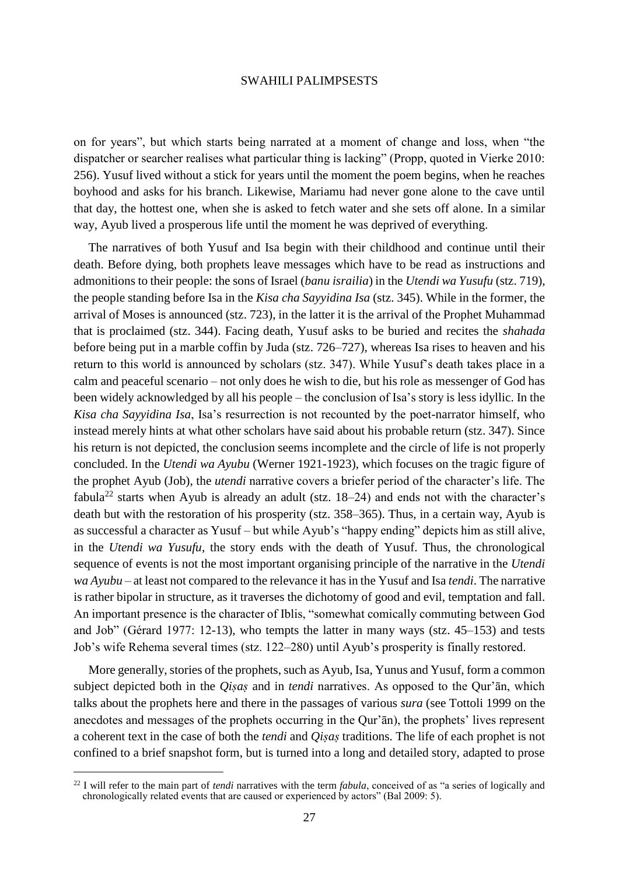on for years", but which starts being narrated at a moment of change and loss, when "the dispatcher or searcher realises what particular thing is lacking" (Propp, quoted in Vierke 2010: 256). Yusuf lived without a stick for years until the moment the poem begins, when he reaches boyhood and asks for his branch. Likewise, Mariamu had never gone alone to the cave until that day, the hottest one, when she is asked to fetch water and she sets off alone. In a similar way, Ayub lived a prosperous life until the moment he was deprived of everything.

The narratives of both Yusuf and Isa begin with their childhood and continue until their death. Before dying, both prophets leave messages which have to be read as instructions and admonitions to their people: the sons of Israel (*banu israilia*) in the *Utendi wa Yusufu* (stz. 719), the people standing before Isa in the *Kisa cha Sayyidina Isa* (stz. 345). While in the former, the arrival of Moses is announced (stz. 723), in the latter it is the arrival of the Prophet Muhammad that is proclaimed (stz. 344). Facing death, Yusuf asks to be buried and recites the *shahada* before being put in a marble coffin by Juda (stz. 726–727), whereas Isa rises to heaven and his return to this world is announced by scholars (stz. 347). While Yusuf's death takes place in a calm and peaceful scenario – not only does he wish to die, but his role as messenger of God has been widely acknowledged by all his people – the conclusion of Isa's story is less idyllic. In the *Kisa cha Sayyidina Isa*, Isa's resurrection is not recounted by the poet-narrator himself, who instead merely hints at what other scholars have said about his probable return (stz. 347). Since his return is not depicted, the conclusion seems incomplete and the circle of life is not properly concluded. In the *Utendi wa Ayubu* (Werner 1921-1923), which focuses on the tragic figure of the prophet Ayub (Job), the *utendi* narrative covers a briefer period of the character's life. The fabula<sup>22</sup> starts when Ayub is already an adult (stz.  $18-24$ ) and ends not with the character's death but with the restoration of his prosperity (stz. 358–365). Thus, in a certain way, Ayub is as successful a character as Yusuf – but while Ayub's "happy ending" depicts him as still alive, in the *Utendi wa Yusufu*, the story ends with the death of Yusuf. Thus, the chronological sequence of events is not the most important organising principle of the narrative in the *Utendi wa Ayubu* – at least not compared to the relevance it has in the Yusuf and Isa *tendi*. The narrative is rather bipolar in structure, as it traverses the dichotomy of good and evil, temptation and fall. An important presence is the character of Iblis, "somewhat comically commuting between God and Job" (Gérard 1977: 12-13), who tempts the latter in many ways (stz. 45–153) and tests Job's wife Rehema several times (stz. 122–280) until Ayub's prosperity is finally restored.

More generally, stories of the prophets, such as Ayub, Isa, Yunus and Yusuf, form a common subject depicted both in the *Qiṣaṣ* and in *tendi* narratives. As opposed to the Qur'ān, which talks about the prophets here and there in the passages of various *sura* (see Tottoli 1999 on the anecdotes and messages of the prophets occurring in the Qur'ān), the prophets' lives represent a coherent text in the case of both the *tendi* and *Qiṣaṣ* traditions. The life of each prophet is not confined to a brief snapshot form, but is turned into a long and detailed story, adapted to prose

<sup>22</sup> I will refer to the main part of *tendi* narratives with the term *fabula*, conceived of as "a series of logically and chronologically related events that are caused or experienced by actors" (Bal 2009: 5).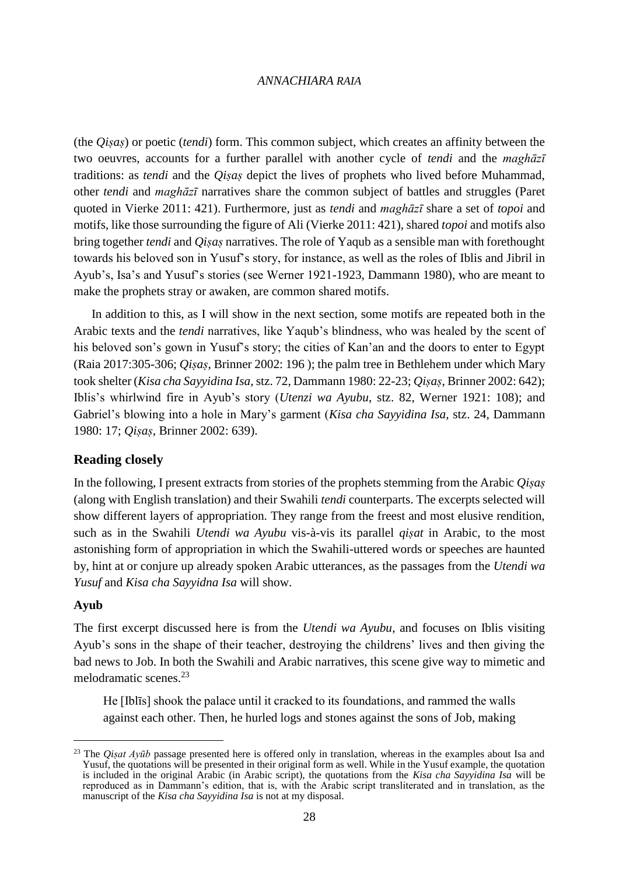(the *Qiṣaṣ*) or poetic (*tendi*) form. This common subject, which creates an affinity between the two oeuvres, accounts for a further parallel with another cycle of *tendi* and the *maghāzī* traditions: as *tendi* and the *Qiṣaṣ* depict the lives of prophets who lived before Muhammad, other *tendi* and *maghāzī* narratives share the common subject of battles and struggles (Paret quoted in Vierke 2011: 421). Furthermore, just as *tendi* and *maghāzī* share a set of *topoi* and motifs, like those surrounding the figure of Ali (Vierke 2011: 421), shared *topoi* and motifs also bring together *tendi* and *Qiṣaṣ* narratives. The role of Yaqub as a sensible man with forethought towards his beloved son in Yusuf's story, for instance, as well as the roles of Iblis and Jibril in Ayub's, Isa's and Yusuf's stories (see Werner 1921-1923, Dammann 1980), who are meant to make the prophets stray or awaken, are common shared motifs.

In addition to this, as I will show in the next section, some motifs are repeated both in the Arabic texts and the *tendi* narratives, like Yaqub's blindness, who was healed by the scent of his beloved son's gown in Yusuf's story; the cities of Kan'an and the doors to enter to Egypt (Raia 2017:305-306; *Qiṣaṣ*, Brinner 2002: 196 ); the palm tree in Bethlehem under which Mary took shelter (*Kisa cha Sayyidina Isa*, stz. 72, Dammann 1980: 22-23; *Qiṣaṣ*, Brinner 2002: 642); Iblis's whirlwind fire in Ayub's story (*Utenzi wa Ayubu*, stz. 82, Werner 1921: 108); and Gabriel's blowing into a hole in Mary's garment (*Kisa cha Sayyidina Isa*, stz. 24, Dammann 1980: 17; *Qiṣaṣ*, Brinner 2002: 639).

### **Reading closely**

In the following, I present extracts from stories of the prophets stemming from the Arabic *Qiṣaṣ* (along with English translation) and their Swahili *tendi* counterparts. The excerpts selected will show different layers of appropriation. They range from the freest and most elusive rendition, such as in the Swahili *Utendi wa Ayubu* vis-à-vis its parallel *qiṣat* in Arabic, to the most astonishing form of appropriation in which the Swahili-uttered words or speeches are haunted by, hint at or conjure up already spoken Arabic utterances, as the passages from the *Utendi wa Yusuf* and *Kisa cha Sayyidna Isa* will show.

### **Ayub**

 $\overline{\phantom{a}}$ 

The first excerpt discussed here is from the *Utendi wa Ayubu*, and focuses on Iblis visiting Ayub's sons in the shape of their teacher, destroying the childrens' lives and then giving the bad news to Job. In both the Swahili and Arabic narratives, this scene give way to mimetic and melodramatic scenes.<sup>23</sup>

He [Iblīs] shook the palace until it cracked to its foundations, and rammed the walls against each other. Then, he hurled logs and stones against the sons of Job, making

<sup>&</sup>lt;sup>23</sup> The *Qisat Ayūb* passage presented here is offered only in translation, whereas in the examples about Isa and Yusuf, the quotations will be presented in their original form as well. While in the Yusuf example, the quotation is included in the original Arabic (in Arabic script), the quotations from the *Kisa cha Sayyidina Isa* will be reproduced as in Dammann's edition, that is, with the Arabic script transliterated and in translation, as the manuscript of the *Kisa cha Sayyidina Isa* is not at my disposal.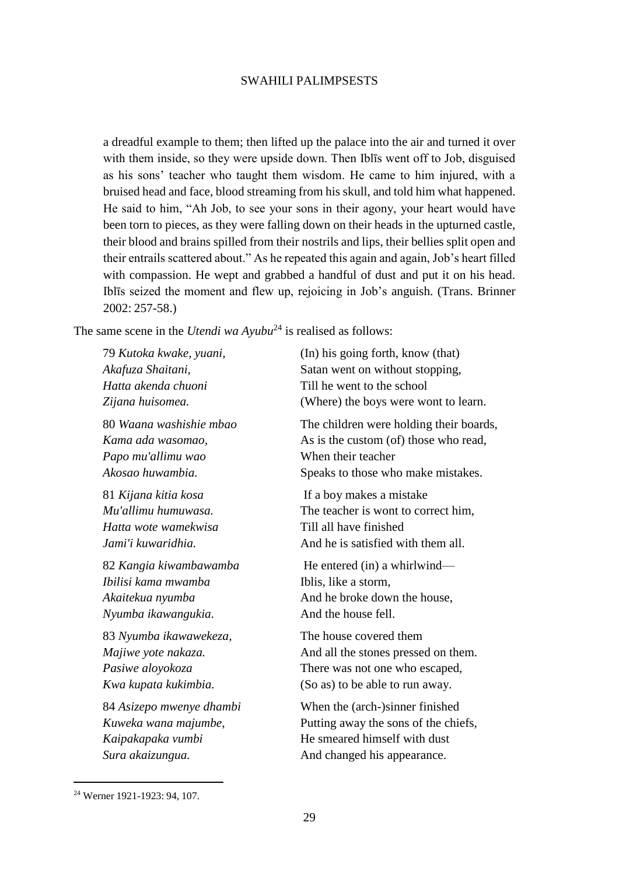a dreadful example to them; then lifted up the palace into the air and turned it over with them inside, so they were upside down. Then Iblīs went off to Job, disguised as his sons' teacher who taught them wisdom. He came to him injured, with a bruised head and face, blood streaming from his skull, and told him what happened. He said to him, "Ah Job, to see your sons in their agony, your heart would have been torn to pieces, as they were falling down on their heads in the upturned castle, their blood and brains spilled from their nostrils and lips, their bellies split open and their entrails scattered about." As he repeated this again and again, Job's heart filled with compassion. He wept and grabbed a handful of dust and put it on his head. Iblīs seized the moment and flew up, rejoicing in Job's anguish. (Trans. Brinner 2002: 257-58.)

The same scene in the *Utendi wa Ayubu*<sup>24</sup> is realised as follows:

| 79 Kutoka kwake, yuani,  | (In) his going forth, know (that)       |
|--------------------------|-----------------------------------------|
| Akafuza Shaitani,        | Satan went on without stopping,         |
| Hatta akenda chuoni      | Till he went to the school              |
| Zijana huisomea.         | (Where) the boys were wont to learn.    |
| 80 Waana washishie mbao  | The children were holding their boards, |
| Kama ada wasomao,        | As is the custom (of) those who read,   |
| Papo mu'allimu wao       | When their teacher                      |
| Akosao huwambia.         | Speaks to those who make mistakes.      |
| 81 Kijana kitia kosa     | If a boy makes a mistake                |
| Mu'allimu humuwasa.      | The teacher is wont to correct him,     |
| Hatta wote wamekwisa     | Till all have finished                  |
| Jami'i kuwaridhia.       | And he is satisfied with them all.      |
| 82 Kangia kiwambawamba   | He entered (in) a whirlwind—            |
| Ibilisi kama mwamba      | Iblis, like a storm,                    |
| Akaitekua nyumba         | And he broke down the house,            |
| Nyumba ikawangukia.      | And the house fell.                     |
| 83 Nyumba ikawawekeza,   | The house covered them                  |
| Majiwe yote nakaza.      | And all the stones pressed on them.     |
| Pasiwe aloyokoza         | There was not one who escaped,          |
| Kwa kupata kukimbia.     | (So as) to be able to run away.         |
| 84 Asizepo mwenye dhambi | When the (arch-)sinner finished         |
| Kuweka wana majumbe,     | Putting away the sons of the chiefs,    |
| Kaipakapaka vumbi        | He smeared himself with dust            |
| Sura akaizungua.         | And changed his appearance.             |
|                          |                                         |

<sup>24</sup> Werner 1921-1923: 94, 107.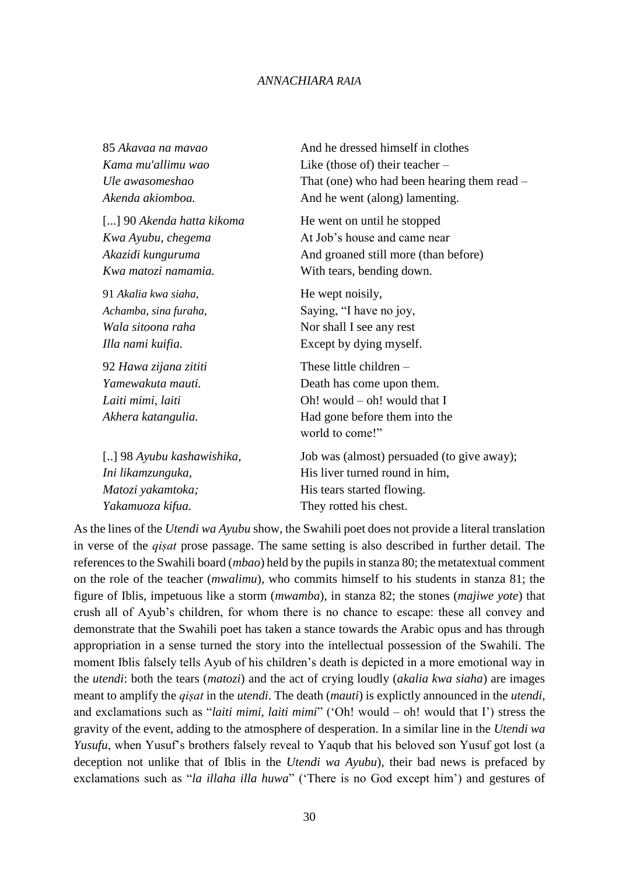| 85 Akavaa na mavao        | And he dressed himself in clothes           |
|---------------------------|---------------------------------------------|
| Kama mu'allimu wao        | Like (those of) their teacher $-$           |
| Ule awasomeshao           | That (one) who had been hearing them read – |
| Akenda akiomboa.          | And he went (along) lamenting.              |
| [] 90 Akenda hatta kikoma | He went on until he stopped                 |
| Kwa Ayubu, chegema        | At Job's house and came near                |
| Akazidi kunguruma         | And groaned still more (than before)        |
| Kwa matozi namamia.       | With tears, bending down.                   |
| 91 Akalia kwa siaha,      | He wept noisily,                            |
| Achamba, sina furaha,     | Saying, "I have no joy,                     |
| Wala sitoona raha         | Nor shall I see any rest                    |
| Illa nami kuifia.         | Except by dying myself.                     |
| 92 Hawa zijana zititi     | These little children $-$                   |
| Yamewakuta mauti.         | Death has come upon them.                   |
| Laiti mimi, laiti         | Oh! would $-$ oh! would that I              |
| Akhera katangulia.        | Had gone before them into the               |
|                           | world to come!"                             |
| [] 98 Ayubu kashawishika, | Job was (almost) persuaded (to give away);  |
| Ini likamzunguka,         | His liver turned round in him,              |
| Matozi yakamtoka;         | His tears started flowing.                  |
| Yakamuoza kifua.          | They rotted his chest.                      |

As the lines of the *Utendi wa Ayubu* show, the Swahili poet does not provide a literal translation in verse of the *qiṣat* prose passage. The same setting is also described in further detail. The references to the Swahili board (*mbao*) held by the pupils in stanza 80; the metatextual comment on the role of the teacher (*mwalimu*), who commits himself to his students in stanza 81; the figure of Iblis, impetuous like a storm (*mwamba*), in stanza 82; the stones (*majiwe yote*) that crush all of Ayub's children, for whom there is no chance to escape: these all convey and demonstrate that the Swahili poet has taken a stance towards the Arabic opus and has through appropriation in a sense turned the story into the intellectual possession of the Swahili. The moment Iblis falsely tells Ayub of his children's death is depicted in a more emotional way in the *utendi*: both the tears (*matozi*) and the act of crying loudly (*akalia kwa siaha*) are images meant to amplify the *qiṣat* in the *utendi*. The death (*mauti*) is explictly announced in the *utendi*, and exclamations such as "*laiti mimi, laiti mimi*" ('Oh! would – oh! would that I') stress the gravity of the event, adding to the atmosphere of desperation. In a similar line in the *Utendi wa Yusufu*, when Yusuf's brothers falsely reveal to Yaqub that his beloved son Yusuf got lost (a deception not unlike that of Iblis in the *Utendi wa Ayubu*), their bad news is prefaced by exclamations such as "*la illaha illa huwa*" ('There is no God except him') and gestures of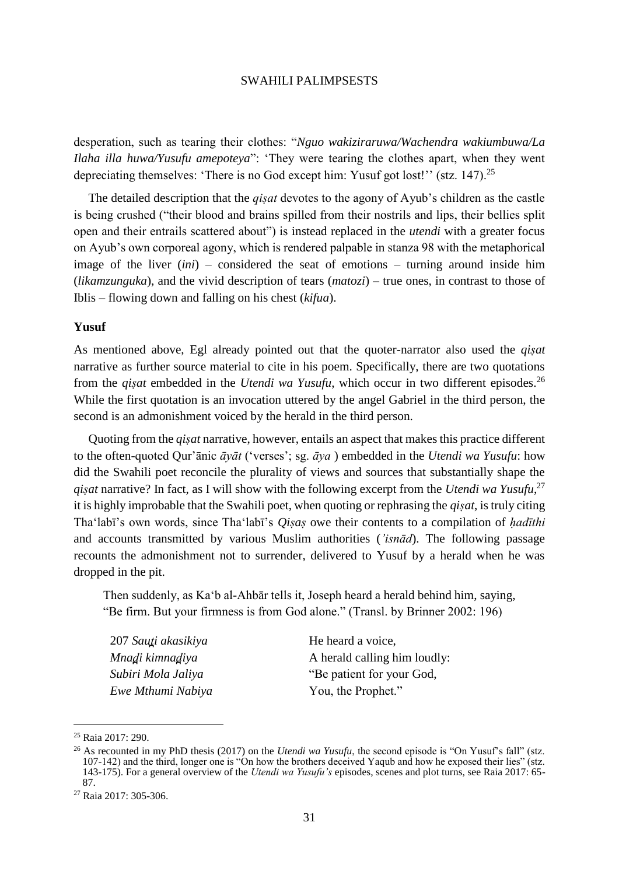desperation, such as tearing their clothes: "*Nguo wakiziraruwa/Wachendra wakiumbuwa/La Ilaha illa huwa/Yusufu amepoteya*": 'They were tearing the clothes apart, when they went depreciating themselves: 'There is no God except him: Yusuf got lost!'' (stz. 147).<sup>25</sup>

The detailed description that the *qiṣat* devotes to the agony of Ayub's children as the castle is being crushed ("their blood and brains spilled from their nostrils and lips, their bellies split open and their entrails scattered about") is instead replaced in the *utendi* with a greater focus on Ayub's own corporeal agony, which is rendered palpable in stanza 98 with the metaphorical image of the liver (*ini*) – considered the seat of emotions – turning around inside him (*likamzunguka*), and the vivid description of tears (*matozi*) – true ones, in contrast to those of Iblis – flowing down and falling on his chest (*kifua*).

### **Yusuf**

As mentioned above, Egl already pointed out that the quoter-narrator also used the *qiṣat* narrative as further source material to cite in his poem. Specifically, there are two quotations from the *qiṣat* embedded in the *Utendi wa Yusufu*, which occur in two different episodes.<sup>26</sup> While the first quotation is an invocation uttered by the angel Gabriel in the third person, the second is an admonishment voiced by the herald in the third person.

Quoting from the *qiṣat* narrative, however, entails an aspect that makes this practice different to the often-quoted Qur'ānic *āyāt* ('verses'; sg. *āya* ) embedded in the *Utendi wa Yusufu*: how did the Swahili poet reconcile the plurality of views and sources that substantially shape the *qiṣat* narrative? In fact, as I will show with the following excerpt from the *Utendi wa Yusufu*, 27 it is highly improbable that the Swahili poet, when quoting or rephrasing the *qiṣat*, is truly citing Tha'labī's own words, since Tha'labī's *Qiṣaṣ* owe their contents to a compilation of *ḥadīthi* and accounts transmitted by various Muslim authorities (*'isnād*). The following passage recounts the admonishment not to surrender, delivered to Yusuf by a herald when he was dropped in the pit.

Then suddenly, as Ka'b al-Ahbār tells it, Joseph heard a herald behind him, saying, "Be firm. But your firmness is from God alone." (Transl. by Brinner 2002: 196)

207 *Saut̪i akasikiya Mnad̪i kimnad̪iya Subiri Mola Jaliya Ewe Mthumi Nabiya* He heard a voice, A herald calling him loudly: "Be patient for your God, You, the Prophet."

l

<sup>25</sup> Raia 2017: 290.

<sup>&</sup>lt;sup>26</sup> As recounted in my PhD thesis (2017) on the *Utendi wa Yusufu*, the second episode is "On Yusuf's fall" (stz. 107-142) and the third, longer one is "On how the brothers deceived Yaqub and how he exposed their lies" (stz. 143-175). For a general overview of the *Utendi wa Yusufu's* episodes, scenes and plot turns, see Raia 2017: 65- 87.

<sup>27</sup> Raia 2017: 305-306.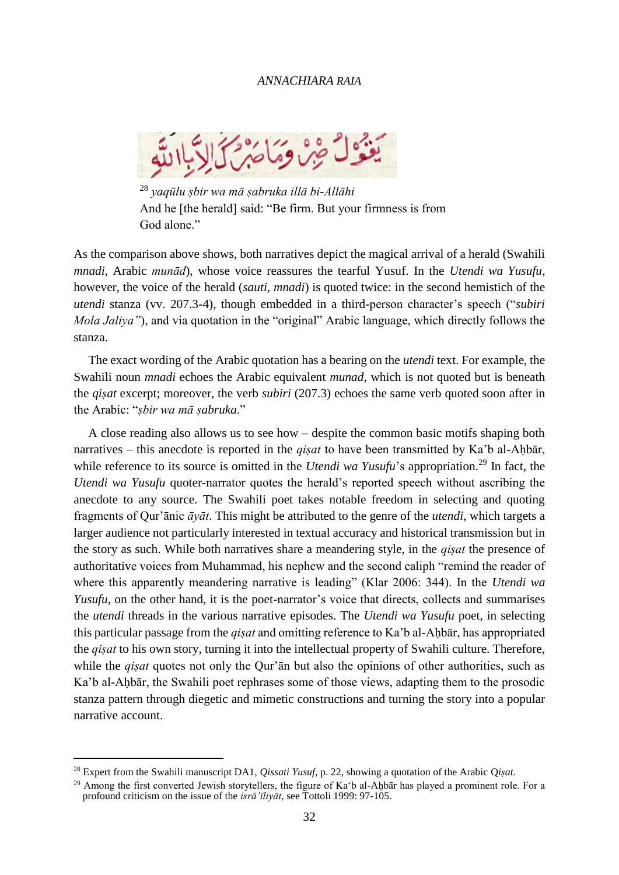

<sup>28</sup> *yaqūlu ṣbir wa mā ṣabruka illā bi-Allāhi* And he [the herald] said: "Be firm. But your firmness is from God alone."

As the comparison above shows, both narratives depict the magical arrival of a herald (Swahili *mnadi*, Arabic *munād*), whose voice reassures the tearful Yusuf. In the *Utendi wa Yusufu*, however, the voice of the herald (*sauti, mnadi*) is quoted twice: in the second hemistich of the *utendi* stanza (vv. 207.3-4), though embedded in a third-person character's speech ("*subiri Mola Jaliya"*), and via quotation in the "original" Arabic language, which directly follows the stanza.

The exact wording of the Arabic quotation has a bearing on the *utendi* text. For example, the Swahili noun *mnadi* echoes the Arabic equivalent *munad*, which is not quoted but is beneath the *qiṣat* excerpt; moreover, the verb *subiri* (207.3) echoes the same verb quoted soon after in the Arabic: "*ṣbir wa mā ṣabruka*."

A close reading also allows us to see how – despite the common basic motifs shaping both narratives – this anecdote is reported in the *gisat* to have been transmitted by Ka'b al-Ahbār, while reference to its source is omitted in the *Utendi wa Yusufu's* appropriation.<sup>29</sup> In fact, the *Utendi wa Yusufu* quoter-narrator quotes the herald's reported speech without ascribing the anecdote to any source. The Swahili poet takes notable freedom in selecting and quoting fragments of Qur'ānic *āyāt*. This might be attributed to the genre of the *utendi*, which targets a larger audience not particularly interested in textual accuracy and historical transmission but in the story as such. While both narratives share a meandering style, in the *qiṣat* the presence of authoritative voices from Muhammad, his nephew and the second caliph "remind the reader of where this apparently meandering narrative is leading" (Klar 2006: 344). In the *Utendi wa Yusufu*, on the other hand, it is the poet-narrator's voice that directs, collects and summarises the *utendi* threads in the various narrative episodes. The *Utendi wa Yusufu* poet, in selecting this particular passage from the *qiṣat* and omitting reference to Ka'b al-Aḥbār, has appropriated the *qiṣat* to his own story, turning it into the intellectual property of Swahili culture. Therefore, while the *qisat* quotes not only the Qur'an but also the opinions of other authorities, such as Ka'b al-Ahbār, the Swahili poet rephrases some of those views, adapting them to the prosodic stanza pattern through diegetic and mimetic constructions and turning the story into a popular narrative account.

l

<sup>28</sup> Expert from the Swahili manuscript DA1, *Qissati Yusuf*, p. 22, showing a quotation of the Arabic Q*iṣat*.

<sup>&</sup>lt;sup>29</sup> Among the first converted Jewish storytellers, the figure of Ka'b al-Ahbār has played a prominent role. For a profound criticism on the issue of the *isrā'īliyāt*, see Tottoli 1999: 97-105.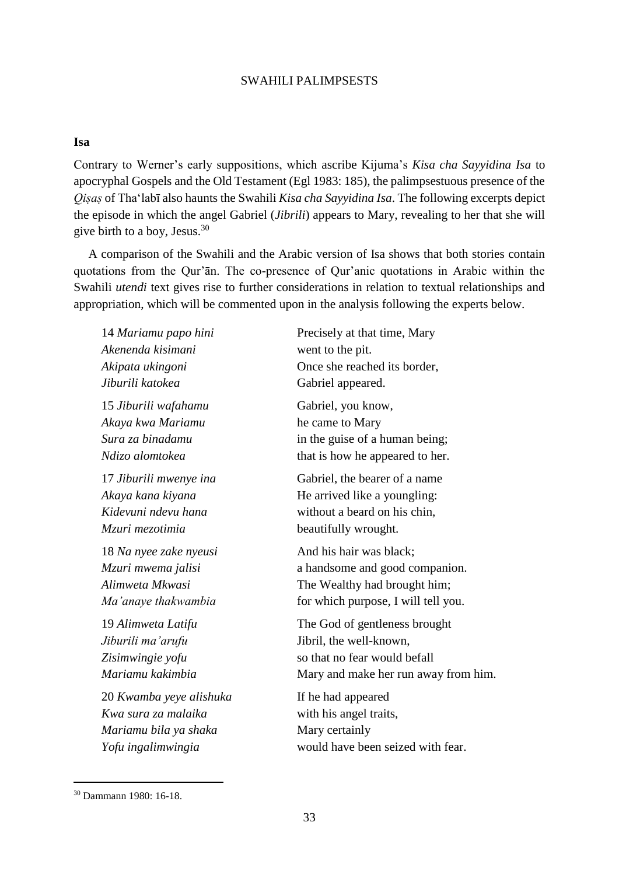### **Isa**

Contrary to Werner's early suppositions, which ascribe Kijuma's *Kisa cha Sayyidina Isa* to apocryphal Gospels and the Old Testament (Egl 1983: 185), the palimpsestuous presence of the *Qiṣaṣ* of Tha'labī also haunts the Swahili *Kisa cha Sayyidina Isa*. The following excerpts depict the episode in which the angel Gabriel (*Jibrili*) appears to Mary, revealing to her that she will give birth to a boy, Jesus.<sup>30</sup>

A comparison of the Swahili and the Arabic version of Isa shows that both stories contain quotations from the Qur'ān. The co-presence of Qur'anic quotations in Arabic within the Swahili *utendi* text gives rise to further considerations in relation to textual relationships and appropriation, which will be commented upon in the analysis following the experts below.

14 *Mariamu papo hini Akenenda kisimani Akipata ukingoni Jiburili katokea* 15 *Jiburili wafahamu Akaya kwa Mariamu Sura za binadamu Ndizo alomtokea* 17 *Jiburili mwenye ina Akaya kana kiyana Kidevuni ndevu hana Mzuri mezotimia* 18 *Na nyee zake nyeusi Mzuri mwema jalisi Alimweta Mkwasi Ma'anaye thakwambia* 19 *Alimweta Latifu Jiburili ma'arufu Zisimwingie yofu Mariamu kakimbia* 20 *Kwamba yeye alishuka Kwa sura za malaika Mariamu bila ya shaka Yofu ingalimwingia*

Precisely at that time, Mary went to the pit. Once she reached its border, Gabriel appeared.

Gabriel, you know, he came to Mary in the guise of a human being; that is how he appeared to her.

Gabriel, the bearer of a name He arrived like a youngling: without a beard on his chin, beautifully wrought.

And his hair was black; a handsome and good companion. The Wealthy had brought him; for which purpose, I will tell you.

The God of gentleness brought Jibril, the well-known, so that no fear would befall Mary and make her run away from him.

If he had appeared with his angel traits, Mary certainly would have been seized with fear.

<sup>30</sup> Dammann 1980: 16-18.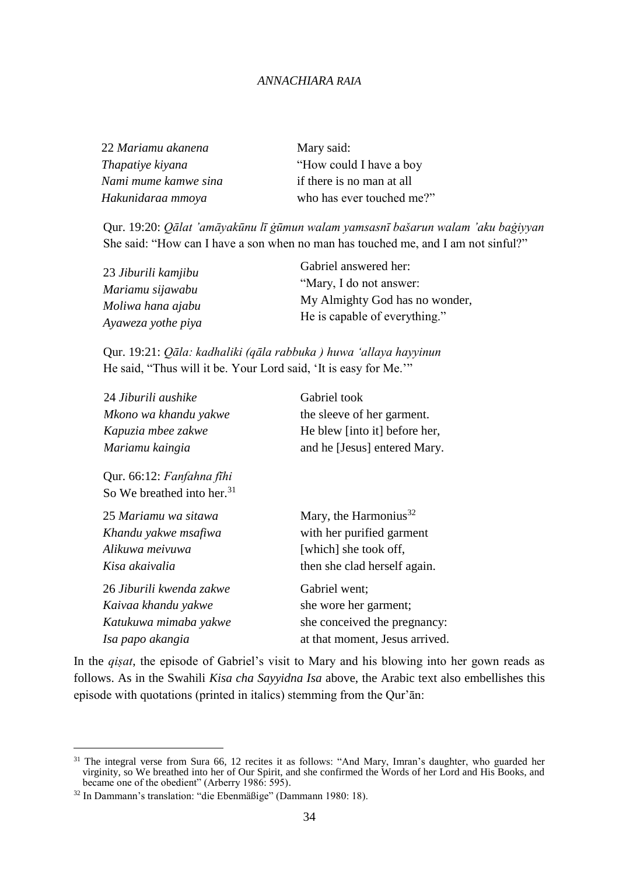| 22 Mariamu akanena   | Mary said:                |
|----------------------|---------------------------|
| Thapatiye kiyana     | "How could I have a boy"  |
| Nami mume kamwe sina | if there is no man at all |
| Hakunidaraa mmoya    | who has ever touched me?" |

Qur. 19:20: *Qālat 'amāyakūnu lī ġūmun walam yamsasnī bašarun walam 'aku baġiyyan*  She said: "How can I have a son when no man has touched me, and I am not sinful?"

| 23 Jiburili kamjibu | Gabriel answered her:                                           |
|---------------------|-----------------------------------------------------------------|
| Mariamu sijawabu    | "Mary, I do not answer:                                         |
| Moliwa hana ajabu   | My Almighty God has no wonder,<br>He is capable of everything." |
| Ayaweza yothe piya  |                                                                 |

Qur. 19:21: *Qāla: kadhaliki (qāla rabbuka ) huwa ʻallaya hayyinun* He said, "Thus will it be. Your Lord said, 'It is easy for Me.'"

| 24 Jiburili aushike                    | Gabriel took                      |
|----------------------------------------|-----------------------------------|
| Mkono wa khandu yakwe                  | the sleeve of her garment.        |
| Kapuzia mbee zakwe                     | He blew [into it] before her,     |
| Mariamu kaingia                        | and he [Jesus] entered Mary.      |
| Qur. 66:12: Fanfahna fīhi              |                                   |
| So We breathed into her. <sup>31</sup> |                                   |
| 25 Mariamu wa sitawa                   | Mary, the Harmonius <sup>32</sup> |
| Khandu yakwe msafiwa                   | with her purified garment         |
| Alikuwa meivuwa                        | [which] she took off,             |
| Kisa akaivalia                         | then she clad herself again.      |
| 26 Jiburili kwenda zakwe               | Gabriel went;                     |
| Kaivaa khandu yakwe                    | she wore her garment;             |
| Katukuwa mimaba yakwe                  | she conceived the pregnancy:      |
| Isa papo akangia                       | at that moment, Jesus arrived.    |

In the *qiṣat*, the episode of Gabriel's visit to Mary and his blowing into her gown reads as follows. As in the Swahili *Kisa cha Sayyidna Isa* above, the Arabic text also embellishes this episode with quotations (printed in italics) stemming from the Qur'ān:

 $31$  The integral verse from Sura 66, 12 recites it as follows: "And Mary, Imran's daughter, who guarded her virginity, so We breathed into her of Our Spirit, and she confirmed the Words of her Lord and His Books, and became one of the obedient" (Arberry 1986: 595).

<sup>32</sup> In Dammann's translation: "die Ebenmäßige" (Dammann 1980: 18).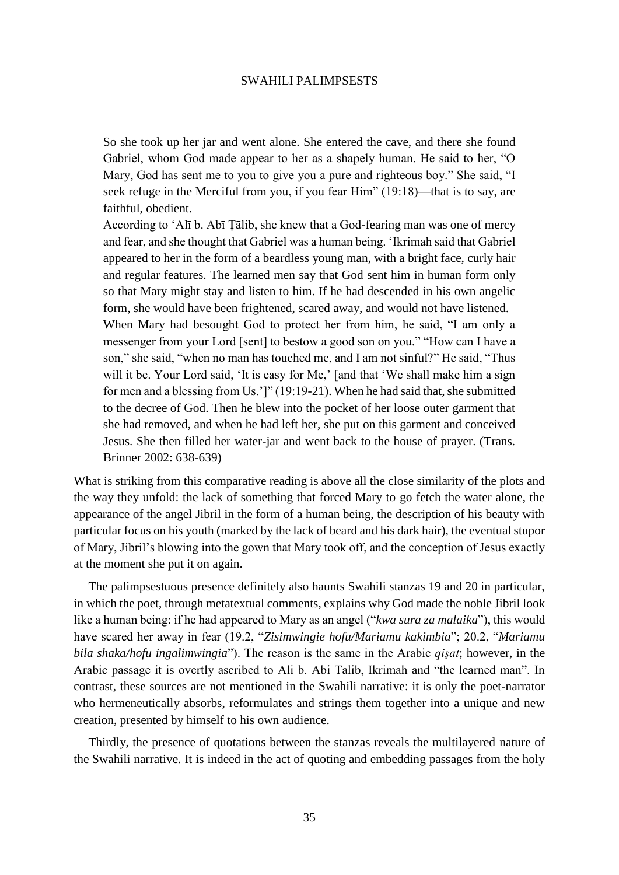So she took up her jar and went alone. She entered the cave, and there she found Gabriel, whom God made appear to her as a shapely human. He said to her, "O Mary, God has sent me to you to give you a pure and righteous boy." She said, "I seek refuge in the Merciful from you, if you fear Him" (19:18)—that is to say, are faithful, obedient.

According to ʻAlī b. Abī Ṭālib, she knew that a God-fearing man was one of mercy and fear, and she thought that Gabriel was a human being. ʻIkrimah said that Gabriel appeared to her in the form of a beardless young man, with a bright face, curly hair and regular features. The learned men say that God sent him in human form only so that Mary might stay and listen to him. If he had descended in his own angelic form, she would have been frightened, scared away, and would not have listened. When Mary had besought God to protect her from him, he said, "I am only a messenger from your Lord [sent] to bestow a good son on you." "How can I have a son," she said, "when no man has touched me, and I am not sinful?" He said, "Thus will it be. Your Lord said, 'It is easy for Me,' [and that 'We shall make him a sign for men and a blessing from Us.']" (19:19-21). When he had said that, she submitted to the decree of God. Then he blew into the pocket of her loose outer garment that she had removed, and when he had left her, she put on this garment and conceived Jesus. She then filled her water-jar and went back to the house of prayer. (Trans. Brinner 2002: 638-639)

What is striking from this comparative reading is above all the close similarity of the plots and the way they unfold: the lack of something that forced Mary to go fetch the water alone, the appearance of the angel Jibril in the form of a human being, the description of his beauty with particular focus on his youth (marked by the lack of beard and his dark hair), the eventual stupor of Mary, Jibril's blowing into the gown that Mary took off, and the conception of Jesus exactly at the moment she put it on again.

The palimpsestuous presence definitely also haunts Swahili stanzas 19 and 20 in particular, in which the poet, through metatextual comments, explains why God made the noble Jibril look like a human being: if he had appeared to Mary as an angel ("*kwa sura za malaika*"), this would have scared her away in fear (19.2, "*Zisimwingie hofu/Mariamu kakimbia*"; 20.2, "*Mariamu bila shaka/hofu ingalimwingia*"). The reason is the same in the Arabic *qiṣat*; however, in the Arabic passage it is overtly ascribed to Ali b. Abi Talib, Ikrimah and "the learned man". In contrast, these sources are not mentioned in the Swahili narrative: it is only the poet-narrator who hermeneutically absorbs, reformulates and strings them together into a unique and new creation, presented by himself to his own audience.

Thirdly, the presence of quotations between the stanzas reveals the multilayered nature of the Swahili narrative. It is indeed in the act of quoting and embedding passages from the holy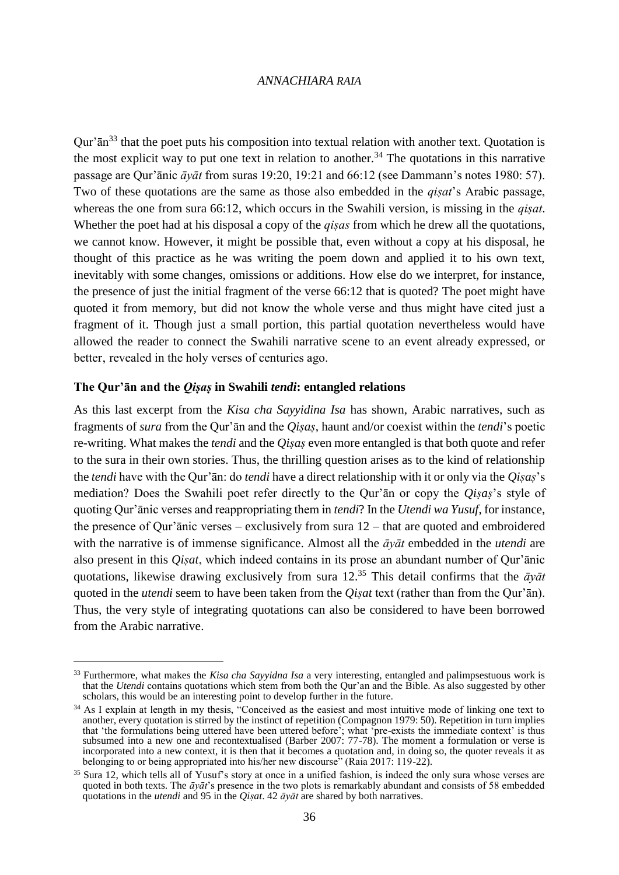Our' $\bar{a}$ <sup>33</sup> that the poet puts his composition into textual relation with another text. Quotation is the most explicit way to put one text in relation to another.<sup>34</sup> The quotations in this narrative passage are Qur'ānic *āyāt* from suras 19:20, 19:21 and 66:12 (see Dammann's notes 1980: 57). Two of these quotations are the same as those also embedded in the *qiṣat*'s Arabic passage, whereas the one from sura 66:12, which occurs in the Swahili version, is missing in the *qiṣat*. Whether the poet had at his disposal a copy of the *qiṣas* from which he drew all the quotations, we cannot know. However, it might be possible that, even without a copy at his disposal, he thought of this practice as he was writing the poem down and applied it to his own text, inevitably with some changes, omissions or additions. How else do we interpret, for instance, the presence of just the initial fragment of the verse 66:12 that is quoted? The poet might have quoted it from memory, but did not know the whole verse and thus might have cited just a fragment of it. Though just a small portion, this partial quotation nevertheless would have allowed the reader to connect the Swahili narrative scene to an event already expressed, or better, revealed in the holy verses of centuries ago.

### **The Qur'ān and the** *Qiṣaṣ* **in Swahili** *tendi***: entangled relations**

 $\overline{a}$ 

As this last excerpt from the *Kisa cha Sayyidina Isa* has shown, Arabic narratives, such as fragments of *sura* from the Qur'ān and the *Qiṣaṣ*, haunt and/or coexist within the *tendi*'s poetic re-writing. What makes the *tendi* and the *Qiṣaṣ* even more entangled is that both quote and refer to the sura in their own stories. Thus, the thrilling question arises as to the kind of relationship the *tendi* have with the Qur'ān: do *tendi* have a direct relationship with it or only via the *Qiṣaṣ*'s mediation? Does the Swahili poet refer directly to the Qur'ān or copy the *Qiṣaṣ*'s style of quoting Qur'ānic verses and reappropriating them in *tendi*? In the *Utendi wa Yusuf*, for instance, the presence of Qur'ānic verses – exclusively from sura 12 – that are quoted and embroidered with the narrative is of immense significance. Almost all the *āyāt* embedded in the *utendi* are also present in this *Qiṣat*, which indeed contains in its prose an abundant number of Qur'ānic quotations, likewise drawing exclusively from sura 12.<sup>35</sup> This detail confirms that the *āyāt* quoted in the *utendi* seem to have been taken from the *Qiṣat* text (rather than from the Qur'ān). Thus, the very style of integrating quotations can also be considered to have been borrowed from the Arabic narrative.

<sup>33</sup> Furthermore, what makes the *Kisa cha Sayyidna Isa* a very interesting, entangled and palimpsestuous work is that the *Utendi* contains quotations which stem from both the Qur'an and the Bible. As also suggested by other scholars, this would be an interesting point to develop further in the future.

<sup>&</sup>lt;sup>34</sup> As I explain at length in my thesis, "Conceived as the easiest and most intuitive mode of linking one text to another, every quotation is stirred by the instinct of repetition (Compagnon 1979: 50). Repetition in turn implies that 'the formulations being uttered have been uttered before'; what 'pre-exists the immediate context' is thus subsumed into a new one and recontextualised (Barber 2007: 77-78). The moment a formulation or verse is incorporated into a new context, it is then that it becomes a quotation and, in doing so, the quoter reveals it as belonging to or being appropriated into his/her new discourse" (Raia 2017: 119-22).

<sup>&</sup>lt;sup>35</sup> Sura 12, which tells all of Yusuf's story at once in a unified fashion, is indeed the only sura whose verses are quoted in both texts. The *āyāt*'s presence in the two plots is remarkably abundant and consists of 58 embedded quotations in the *utendi* and 95 in the *Qiṣat*. 42 *āyāt* are shared by both narratives.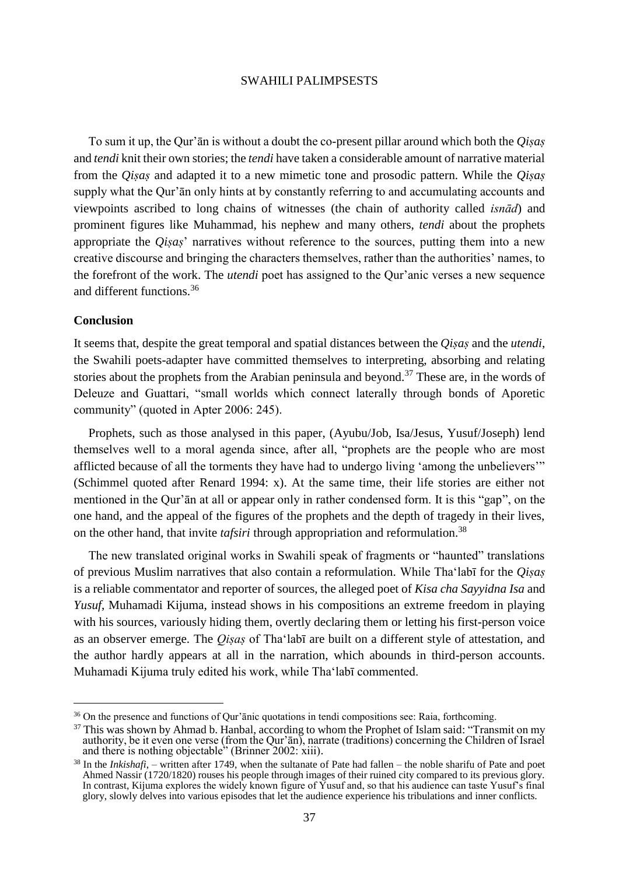To sum it up, the Qur'ān is without a doubt the co-present pillar around which both the *Qiṣaṣ* and *tendi* knit their own stories; the *tendi* have taken a considerable amount of narrative material from the *Qiṣaṣ* and adapted it to a new mimetic tone and prosodic pattern. While the *Qiṣaṣ* supply what the Qur'ān only hints at by constantly referring to and accumulating accounts and viewpoints ascribed to long chains of witnesses (the chain of authority called *isnād*) and prominent figures like Muhammad, his nephew and many others, *tendi* about the prophets appropriate the *Qiṣaṣ*' narratives without reference to the sources, putting them into a new creative discourse and bringing the characters themselves, rather than the authorities' names, to the forefront of the work. The *utendi* poet has assigned to the Qur'anic verses a new sequence and different functions.<sup>36</sup>

#### **Conclusion**

 $\overline{\phantom{a}}$ 

It seems that, despite the great temporal and spatial distances between the *Qiṣaṣ* and the *utendi*, the Swahili poets-adapter have committed themselves to interpreting, absorbing and relating stories about the prophets from the Arabian peninsula and beyond.<sup>37</sup> These are, in the words of Deleuze and Guattari, "small worlds which connect laterally through bonds of Aporetic community" (quoted in Apter 2006: 245).

Prophets, such as those analysed in this paper, (Ayubu/Job, Isa/Jesus, Yusuf/Joseph) lend themselves well to a moral agenda since, after all, "prophets are the people who are most afflicted because of all the torments they have had to undergo living 'among the unbelievers'" (Schimmel quoted after Renard 1994: x). At the same time, their life stories are either not mentioned in the Qur'ān at all or appear only in rather condensed form. It is this "gap", on the one hand, and the appeal of the figures of the prophets and the depth of tragedy in their lives, on the other hand, that invite *tafsiri* through appropriation and reformulation.<sup>38</sup>

The new translated original works in Swahili speak of fragments or "haunted" translations of previous Muslim narratives that also contain a reformulation. While Tha'labī for the *Qiṣaṣ* is a reliable commentator and reporter of sources, the alleged poet of *Kisa cha Sayyidna Isa* and *Yusuf*, Muhamadi Kijuma, instead shows in his compositions an extreme freedom in playing with his sources, variously hiding them, overtly declaring them or letting his first-person voice as an observer emerge. The *Qiṣaṣ* of Tha'labī are built on a different style of attestation, and the author hardly appears at all in the narration, which abounds in third-person accounts. Muhamadi Kijuma truly edited his work, while Tha'labī commented.

<sup>&</sup>lt;sup>36</sup> On the presence and functions of Qur'ānic quotations in tendi compositions see: Raia, forthcoming.

 $37$  This was shown by Ahmad b. Hanbal, according to whom the Prophet of Islam said: "Transmit on my authority, be it even one verse (from the Qur'ān), narrate (traditions) concerning the Children of Israel and there is nothing objectable" (Brinner 2002: xiii).

<sup>38</sup> In the *Inkishafi*, – written after 1749, when the sultanate of Pate had fallen – the noble sharifu of Pate and poet Ahmed Nassir (1720/1820) rouses his people through images of their ruined city compared to its previous glory. In contrast, Kijuma explores the widely known figure of Yusuf and, so that his audience can taste Yusuf's final glory, slowly delves into various episodes that let the audience experience his tribulations and inner conflicts.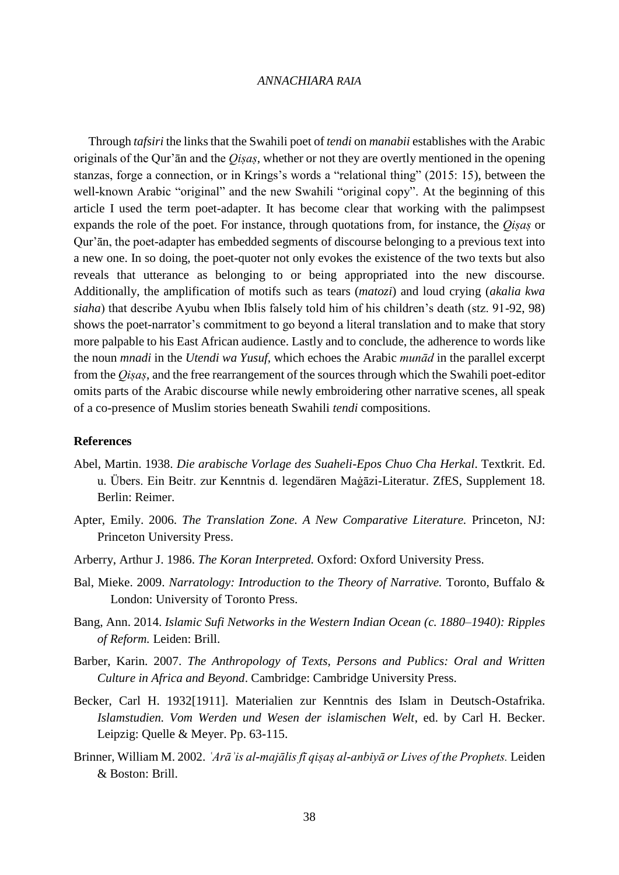Through *tafsiri* the links that the Swahili poet of *tendi* on *manabii* establishes with the Arabic originals of the Qur'ān and the *Qiṣaṣ*, whether or not they are overtly mentioned in the opening stanzas, forge a connection, or in Krings's words a "relational thing" (2015: 15), between the well-known Arabic "original" and the new Swahili "original copy". At the beginning of this article I used the term poet-adapter. It has become clear that working with the palimpsest expands the role of the poet. For instance, through quotations from, for instance, the *Qiṣaṣ* or Qur'ān, the poet-adapter has embedded segments of discourse belonging to a previous text into a new one. In so doing, the poet-quoter not only evokes the existence of the two texts but also reveals that utterance as belonging to or being appropriated into the new discourse. Additionally, the amplification of motifs such as tears (*matozi*) and loud crying (*akalia kwa siaha*) that describe Ayubu when Iblis falsely told him of his children's death (stz. 91-92, 98) shows the poet-narrator's commitment to go beyond a literal translation and to make that story more palpable to his East African audience. Lastly and to conclude, the adherence to words like the noun *mnadi* in the *Utendi wa Yusuf,* which echoes the Arabic *munād* in the parallel excerpt from the *Qiṣaṣ*, and the free rearrangement of the sources through which the Swahili poet-editor omits parts of the Arabic discourse while newly embroidering other narrative scenes, all speak of a co-presence of Muslim stories beneath Swahili *tendi* compositions.

### **References**

- Abel, Martin. 1938. *Die arabische Vorlage des Suaheli-Epos Chuo Cha Herkal*. Textkrit. Ed. u. Übers. Ein Beitr. zur Kenntnis d. legendären Maġāzi-Literatur. ZfES, Supplement 18. Berlin: Reimer.
- Apter, Emily. 2006. *The Translation Zone. A New Comparative Literature.* Princeton, NJ: Princeton University Press.
- Arberry, Arthur J. 1986. *The Koran Interpreted.* Oxford: Oxford University Press.
- Bal, Mieke. 2009. *Narratology: Introduction to the Theory of Narrative.* Toronto, Buffalo & London: University of Toronto Press.
- Bang, Ann. 2014. *Islamic Sufi Networks in the Western Indian Ocean (c. 1880–1940): Ripples of Reform.* Leiden: Brill.
- Barber, Karin. 2007. *The Anthropology of Texts, Persons and Publics: Oral and Written Culture in Africa and Beyond*. Cambridge: Cambridge University Press.
- Becker, Carl H. 1932[1911]. Materialien zur Kenntnis des Islam in Deutsch-Ostafrika. *Islamstudien. Vom Werden und Wesen der islamischen Welt*, ed. by Carl H. Becker. Leipzig: Quelle & Meyer. Pp. 63-115.
- Brinner, William M. 2002. *ʿArāʾis al-majālis fī qiṣaṣ al-anbiyā or Lives of the Prophets.* Leiden & Boston: Brill.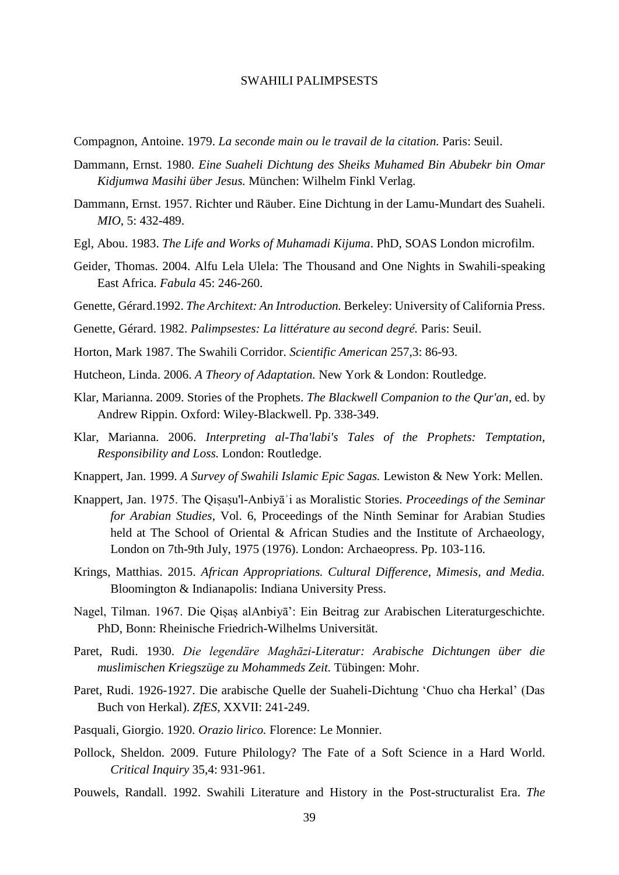- Compagnon, Antoine. 1979. *La seconde main ou le travail de la citation.* Paris: Seuil.
- Dammann, Ernst. 1980. *Eine Suaheli Dichtung des Sheiks Muhamed Bin Abubekr bin Omar Kidjumwa Masihi über Jesus.* München: Wilhelm Finkl Verlag.
- Dammann, Ernst. 1957. Richter und Räuber. Eine Dichtung in der Lamu-Mundart des Suaheli. *MIO*, 5: 432-489.
- Egl, Abou. 1983. *The Life and Works of Muhamadi Kijuma*. PhD, SOAS London microfilm.
- Geider, Thomas. 2004. Alfu Lela Ulela: The Thousand and One Nights in Swahili-speaking East Africa. *Fabula* 45: 246-260.
- Genette, Gérard.1992. *The Architext: An Introduction.* Berkeley: University of California Press.
- Genette, Gérard. 1982. *Palimpsestes: La littérature au second degré.* Paris: Seuil.
- Horton, Mark 1987. The Swahili Corridor. *Scientific American* 257,3: 86-93.
- Hutcheon, Linda. 2006. *A Theory of Adaptation.* New York & London: Routledge.
- Klar, Marianna. 2009. Stories of the Prophets. *The Blackwell Companion to the Qur'an*, ed. by Andrew Rippin. Oxford: Wiley-Blackwell. Pp. 338-349.
- Klar, Marianna. 2006. *Interpreting al-Tha'labi's Tales of the Prophets: Temptation, Responsibility and Loss.* London: Routledge.
- Knappert, Jan. 1999. *A Survey of Swahili Islamic Epic Sagas.* Lewiston & New York: Mellen.
- Knappert, Jan. 1975. The Qiṣaṣu'l-Anbiyāʾi as Moralistic Stories. *Proceedings of the Seminar for Arabian Studies*, Vol. 6, Proceedings of the Ninth Seminar for Arabian Studies held at The School of Oriental & African Studies and the Institute of Archaeology, London on 7th-9th July, 1975 (1976). London: Archaeopress. Pp. 103-116.
- Krings, Matthias. 2015. *African Appropriations. Cultural Difference, Mimesis, and Media.*  Bloomington & Indianapolis: Indiana University Press.
- Nagel, Tilman. 1967. Die Qiṣaṣ alAnbiyā': Ein Beitrag zur Arabischen Literaturgeschichte. PhD, Bonn: Rheinische Friedrich-Wilhelms Universität.
- Paret, Rudi. 1930. *Die legendäre Maghāzi-Literatur: Arabische Dichtungen über die muslimischen Kriegszüge zu Mohammeds Zeit.* Tübingen: Mohr.
- Paret, Rudi. 1926-1927. Die arabische Quelle der Suaheli-Dichtung 'Chuo cha Herkal' (Das Buch von Herkal). *ZfES*, XXVII: 241-249.
- Pasquali, Giorgio. 1920. *Orazio lirico.* Florence: Le Monnier.
- Pollock, Sheldon. 2009. Future Philology? The Fate of a Soft Science in a Hard World. *Critical Inquiry* 35,4: 931-961.
- Pouwels, Randall. 1992. Swahili Literature and History in the Post-structuralist Era. *The*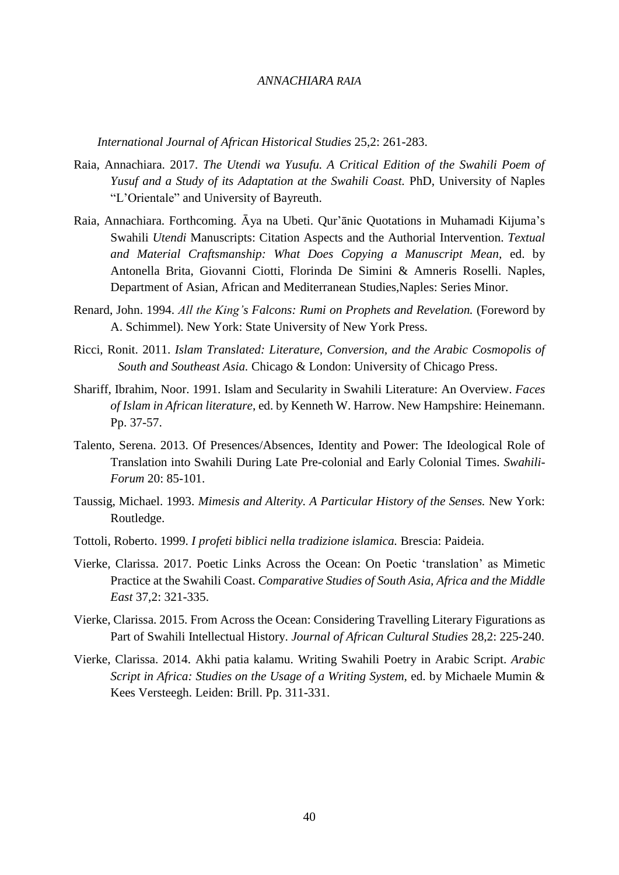*International Journal of African Historical Studies* 25,2: 261-283.

- Raia, Annachiara. 2017. *The Utendi wa Yusufu. A Critical Edition of the Swahili Poem of Yusuf and a Study of its Adaptation at the Swahili Coast.* PhD, University of Naples "L'Orientale" and University of Bayreuth.
- Raia, Annachiara. Forthcoming. Āya na Ubeti. Qur'ānic Quotations in Muhamadi Kijuma's Swahili *Utendi* Manuscripts: Citation Aspects and the Authorial Intervention. *Textual and Material Craftsmanship: What Does Copying a Manuscript Mean,* ed. by Antonella Brita, Giovanni Ciotti, Florinda De Simini & Amneris Roselli. Naples, Department of Asian, African and Mediterranean Studies,Naples: Series Minor.
- Renard, John. 1994. *All the King's Falcons: Rumi on Prophets and Revelation.* (Foreword by A. Schimmel). New York: State University of New York Press.
- Ricci, Ronit. 2011. *Islam Translated: Literature, Conversion, and the Arabic Cosmopolis of South and Southeast Asia.* Chicago & London: University of Chicago Press.
- Shariff, Ibrahim, Noor. 1991. Islam and Secularity in Swahili Literature: An Overview. *Faces of Islam in African literature*, ed. by Kenneth W. Harrow. New Hampshire: Heinemann. Pp. 37-57.
- Talento, Serena. 2013. Of Presences/Absences, Identity and Power: The Ideological Role of Translation into Swahili During Late Pre-colonial and Early Colonial Times. *Swahili-Forum* 20: 85-101.
- Taussig, Michael. 1993. *Mimesis and Alterity. A Particular History of the Senses.* New York: Routledge.
- Tottoli, Roberto. 1999. *I profeti biblici nella tradizione islamica.* Brescia: Paideia.
- Vierke, Clarissa. 2017. Poetic Links Across the Ocean: On Poetic 'translation' as Mimetic Practice at the Swahili Coast. *Comparative Studies of South Asia, Africa and the Middle East* 37,2: 321-335.
- Vierke, Clarissa. 2015. From Across the Ocean: Considering Travelling Literary Figurations as Part of Swahili Intellectual History. *Journal of African Cultural Studies* 28,2: 225-240.
- Vierke, Clarissa. 2014. Akhi patia kalamu. Writing Swahili Poetry in Arabic Script. *Arabic Script in Africa: Studies on the Usage of a Writing System, ed. by Michaele Mumin &* Kees Versteegh. Leiden: Brill. Pp. 311-331.